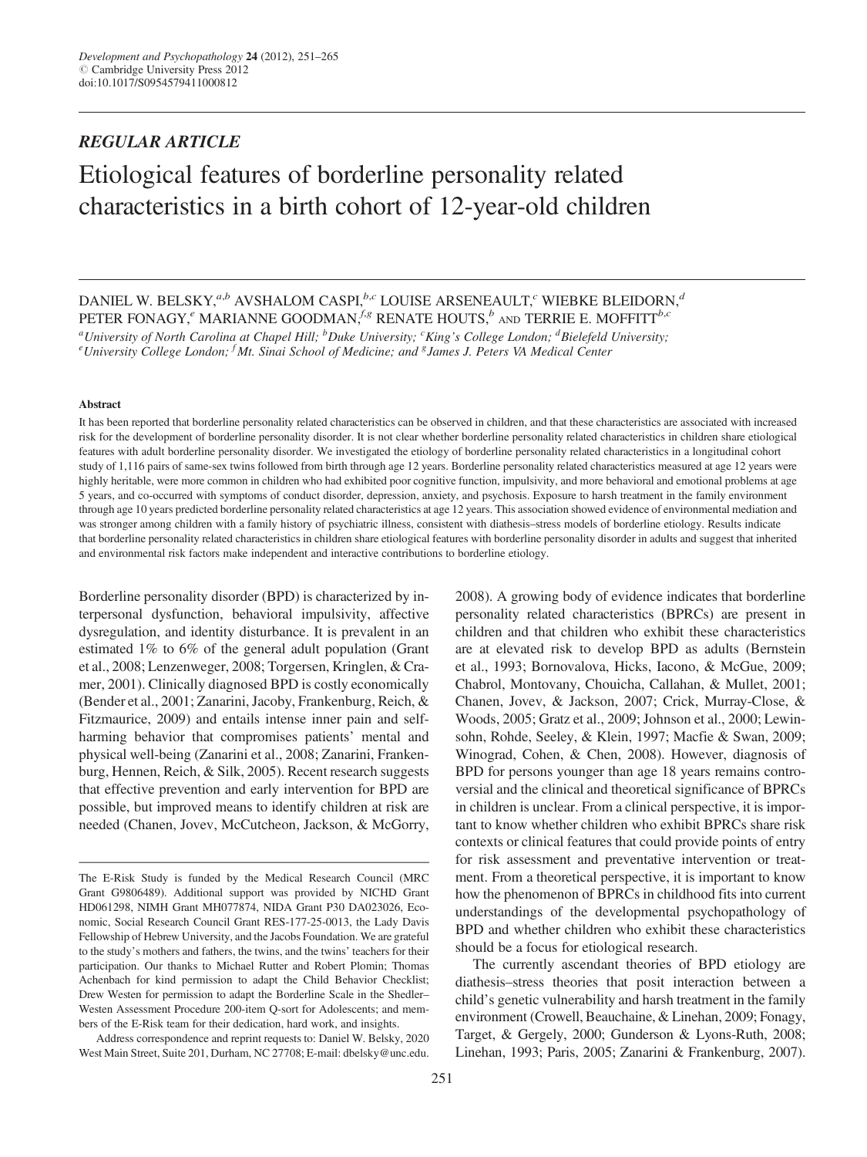# REGULAR ARTICLE Etiological features of borderline personality related characteristics in a birth cohort of 12-year-old children

## DANIEL W. BELSKY,  $a,b$  AVSHALOM CASPI,  $b,c$  LOUISE ARSENEAULT,  $c$  WIEBKE BLEIDORN,  $d$ PETER FONAGY,<sup>e</sup> MARIANNE GOODMAN,<sup>f,g</sup> RENATE HOUTS,<sup>b</sup> AND TERRIE E. MOFFITT<sup>b,c</sup>

<sup>a</sup>University of North Carolina at Chapel Hill; <sup>b</sup>Duke University; <sup>c</sup>King's College London; <sup>d</sup>Bielefeld University;<br><sup>e</sup>University College London; <sup>f</sup>Mt. Singi School of Medicine; and 8 James L. Peters VA Medical Center University College London; <sup>f</sup>Mt. Sinai School of Medicine; and <sup>g</sup>James J. Peters VA Medical Center

#### Abstract

It has been reported that borderline personality related characteristics can be observed in children, and that these characteristics are associated with increased risk for the development of borderline personality disorder. It is not clear whether borderline personality related characteristics in children share etiological features with adult borderline personality disorder. We investigated the etiology of borderline personality related characteristics in a longitudinal cohort study of 1,116 pairs of same-sex twins followed from birth through age 12 years. Borderline personality related characteristics measured at age 12 years were highly heritable, were more common in children who had exhibited poor cognitive function, impulsivity, and more behavioral and emotional problems at age 5 years, and co-occurred with symptoms of conduct disorder, depression, anxiety, and psychosis. Exposure to harsh treatment in the family environment through age 10 years predicted borderline personality related characteristics at age 12 years. This association showed evidence of environmental mediation and was stronger among children with a family history of psychiatric illness, consistent with diathesis–stress models of borderline etiology. Results indicate that borderline personality related characteristics in children share etiological features with borderline personality disorder in adults and suggest that inherited and environmental risk factors make independent and interactive contributions to borderline etiology.

Borderline personality disorder (BPD) is characterized by interpersonal dysfunction, behavioral impulsivity, affective dysregulation, and identity disturbance. It is prevalent in an estimated 1% to 6% of the general adult population (Grant et al., 2008; Lenzenweger, 2008; Torgersen, Kringlen, & Cramer, 2001). Clinically diagnosed BPD is costly economically (Bender et al., 2001; Zanarini, Jacoby, Frankenburg, Reich, & Fitzmaurice, 2009) and entails intense inner pain and selfharming behavior that compromises patients' mental and physical well-being (Zanarini et al., 2008; Zanarini, Frankenburg, Hennen, Reich, & Silk, 2005). Recent research suggests that effective prevention and early intervention for BPD are possible, but improved means to identify children at risk are needed (Chanen, Jovev, McCutcheon, Jackson, & McGorry,

Address correspondence and reprint requests to: Daniel W. Belsky, 2020 West Main Street, Suite 201, Durham, NC 27708; E-mail: dbelsky@unc.edu. 2008). A growing body of evidence indicates that borderline personality related characteristics (BPRCs) are present in children and that children who exhibit these characteristics are at elevated risk to develop BPD as adults (Bernstein et al., 1993; Bornovalova, Hicks, Iacono, & McGue, 2009; Chabrol, Montovany, Chouicha, Callahan, & Mullet, 2001; Chanen, Jovev, & Jackson, 2007; Crick, Murray-Close, & Woods, 2005; Gratz et al., 2009; Johnson et al., 2000; Lewinsohn, Rohde, Seeley, & Klein, 1997; Macfie & Swan, 2009; Winograd, Cohen, & Chen, 2008). However, diagnosis of BPD for persons younger than age 18 years remains controversial and the clinical and theoretical significance of BPRCs in children is unclear. From a clinical perspective, it is important to know whether children who exhibit BPRCs share risk contexts or clinical features that could provide points of entry for risk assessment and preventative intervention or treatment. From a theoretical perspective, it is important to know how the phenomenon of BPRCs in childhood fits into current understandings of the developmental psychopathology of BPD and whether children who exhibit these characteristics should be a focus for etiological research.

The currently ascendant theories of BPD etiology are diathesis–stress theories that posit interaction between a child's genetic vulnerability and harsh treatment in the family environment (Crowell, Beauchaine, & Linehan, 2009; Fonagy, Target, & Gergely, 2000; Gunderson & Lyons-Ruth, 2008; Linehan, 1993; Paris, 2005; Zanarini & Frankenburg, 2007).

The E-Risk Study is funded by the Medical Research Council (MRC Grant G9806489). Additional support was provided by NICHD Grant HD061298, NIMH Grant MH077874, NIDA Grant P30 DA023026, Economic, Social Research Council Grant RES-177-25-0013, the Lady Davis Fellowship of Hebrew University, and the Jacobs Foundation. We are grateful to the study's mothers and fathers, the twins, and the twins' teachers for their participation. Our thanks to Michael Rutter and Robert Plomin; Thomas Achenbach for kind permission to adapt the Child Behavior Checklist; Drew Westen for permission to adapt the Borderline Scale in the Shedler– Westen Assessment Procedure 200-item Q-sort for Adolescents; and members of the E-Risk team for their dedication, hard work, and insights.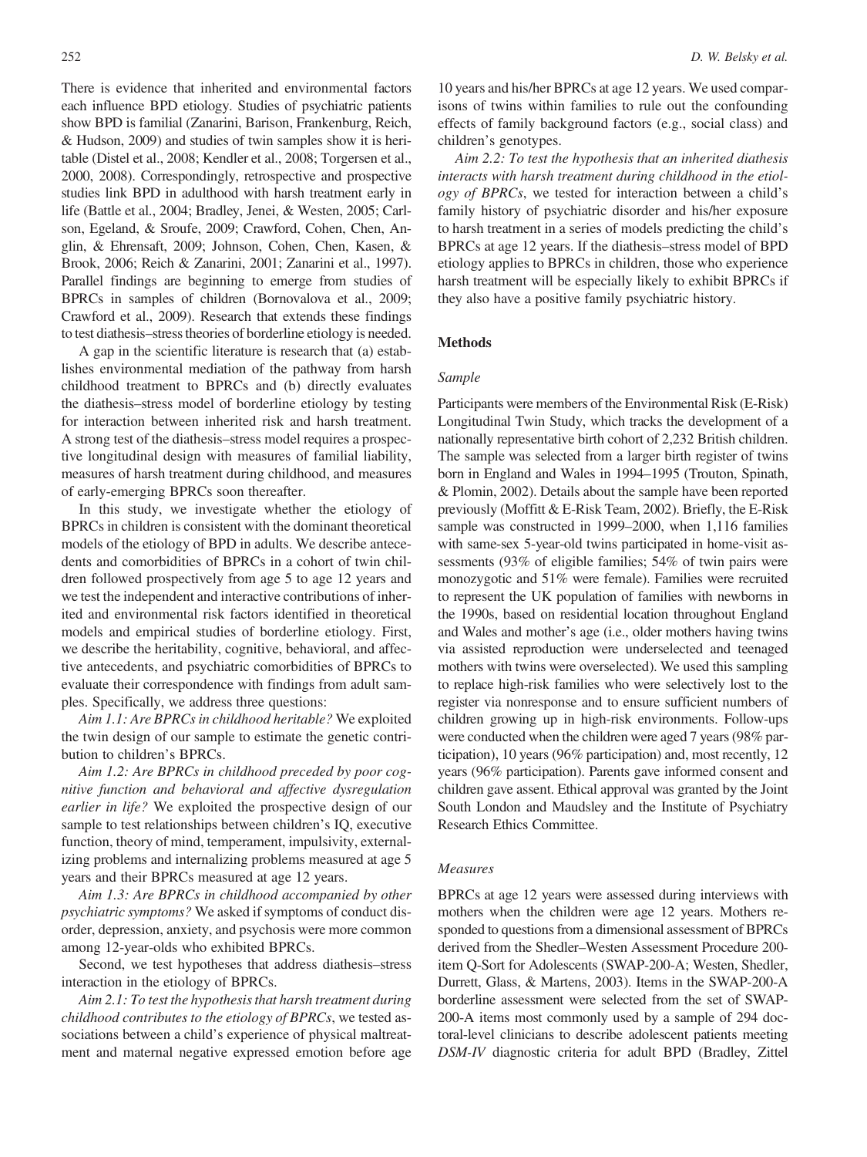There is evidence that inherited and environmental factors each influence BPD etiology. Studies of psychiatric patients show BPD is familial (Zanarini, Barison, Frankenburg, Reich, & Hudson, 2009) and studies of twin samples show it is heritable (Distel et al., 2008; Kendler et al., 2008; Torgersen et al., 2000, 2008). Correspondingly, retrospective and prospective studies link BPD in adulthood with harsh treatment early in life (Battle et al., 2004; Bradley, Jenei, & Westen, 2005; Carlson, Egeland, & Sroufe, 2009; Crawford, Cohen, Chen, Anglin, & Ehrensaft, 2009; Johnson, Cohen, Chen, Kasen, & Brook, 2006; Reich & Zanarini, 2001; Zanarini et al., 1997). Parallel findings are beginning to emerge from studies of BPRCs in samples of children (Bornovalova et al., 2009; Crawford et al., 2009). Research that extends these findings to test diathesis–stress theories of borderline etiology is needed.

A gap in the scientific literature is research that (a) establishes environmental mediation of the pathway from harsh childhood treatment to BPRCs and (b) directly evaluates the diathesis–stress model of borderline etiology by testing for interaction between inherited risk and harsh treatment. A strong test of the diathesis–stress model requires a prospective longitudinal design with measures of familial liability, measures of harsh treatment during childhood, and measures of early-emerging BPRCs soon thereafter.

In this study, we investigate whether the etiology of BPRCs in children is consistent with the dominant theoretical models of the etiology of BPD in adults. We describe antecedents and comorbidities of BPRCs in a cohort of twin children followed prospectively from age 5 to age 12 years and we test the independent and interactive contributions of inherited and environmental risk factors identified in theoretical models and empirical studies of borderline etiology. First, we describe the heritability, cognitive, behavioral, and affective antecedents, and psychiatric comorbidities of BPRCs to evaluate their correspondence with findings from adult samples. Specifically, we address three questions:

Aim 1.1: Are BPRCs in childhood heritable? We exploited the twin design of our sample to estimate the genetic contribution to children's BPRCs.

Aim 1.2: Are BPRCs in childhood preceded by poor cognitive function and behavioral and affective dysregulation earlier in life? We exploited the prospective design of our sample to test relationships between children's IQ, executive function, theory of mind, temperament, impulsivity, externalizing problems and internalizing problems measured at age 5 years and their BPRCs measured at age 12 years.

Aim 1.3: Are BPRCs in childhood accompanied by other psychiatric symptoms? We asked if symptoms of conduct disorder, depression, anxiety, and psychosis were more common among 12-year-olds who exhibited BPRCs.

Second, we test hypotheses that address diathesis–stress interaction in the etiology of BPRCs.

Aim 2.1: To test the hypothesis that harsh treatment during childhood contributes to the etiology of BPRCs, we tested associations between a child's experience of physical maltreatment and maternal negative expressed emotion before age

10 years and his/her BPRCs at age 12 years. We used comparisons of twins within families to rule out the confounding effects of family background factors (e.g., social class) and children's genotypes.

Aim 2.2: To test the hypothesis that an inherited diathesis interacts with harsh treatment during childhood in the etiology of BPRCs, we tested for interaction between a child's family history of psychiatric disorder and his/her exposure to harsh treatment in a series of models predicting the child's BPRCs at age 12 years. If the diathesis–stress model of BPD etiology applies to BPRCs in children, those who experience harsh treatment will be especially likely to exhibit BPRCs if they also have a positive family psychiatric history.

#### **Methods**

#### Sample

Participants were members of the Environmental Risk (E-Risk) Longitudinal Twin Study, which tracks the development of a nationally representative birth cohort of 2,232 British children. The sample was selected from a larger birth register of twins born in England and Wales in 1994–1995 (Trouton, Spinath, & Plomin, 2002). Details about the sample have been reported previously (Moffitt & E-Risk Team, 2002). Briefly, the E-Risk sample was constructed in 1999–2000, when 1,116 families with same-sex 5-year-old twins participated in home-visit assessments (93% of eligible families; 54% of twin pairs were monozygotic and 51% were female). Families were recruited to represent the UK population of families with newborns in the 1990s, based on residential location throughout England and Wales and mother's age (i.e., older mothers having twins via assisted reproduction were underselected and teenaged mothers with twins were overselected). We used this sampling to replace high-risk families who were selectively lost to the register via nonresponse and to ensure sufficient numbers of children growing up in high-risk environments. Follow-ups were conducted when the children were aged 7 years (98% participation), 10 years (96% participation) and, most recently, 12 years (96% participation). Parents gave informed consent and children gave assent. Ethical approval was granted by the Joint South London and Maudsley and the Institute of Psychiatry Research Ethics Committee.

### Measures

BPRCs at age 12 years were assessed during interviews with mothers when the children were age 12 years. Mothers responded to questions from a dimensional assessment of BPRCs derived from the Shedler–Westen Assessment Procedure 200 item Q-Sort for Adolescents (SWAP-200-A; Westen, Shedler, Durrett, Glass, & Martens, 2003). Items in the SWAP-200-A borderline assessment were selected from the set of SWAP-200-A items most commonly used by a sample of 294 doctoral-level clinicians to describe adolescent patients meeting DSM-IV diagnostic criteria for adult BPD (Bradley, Zittel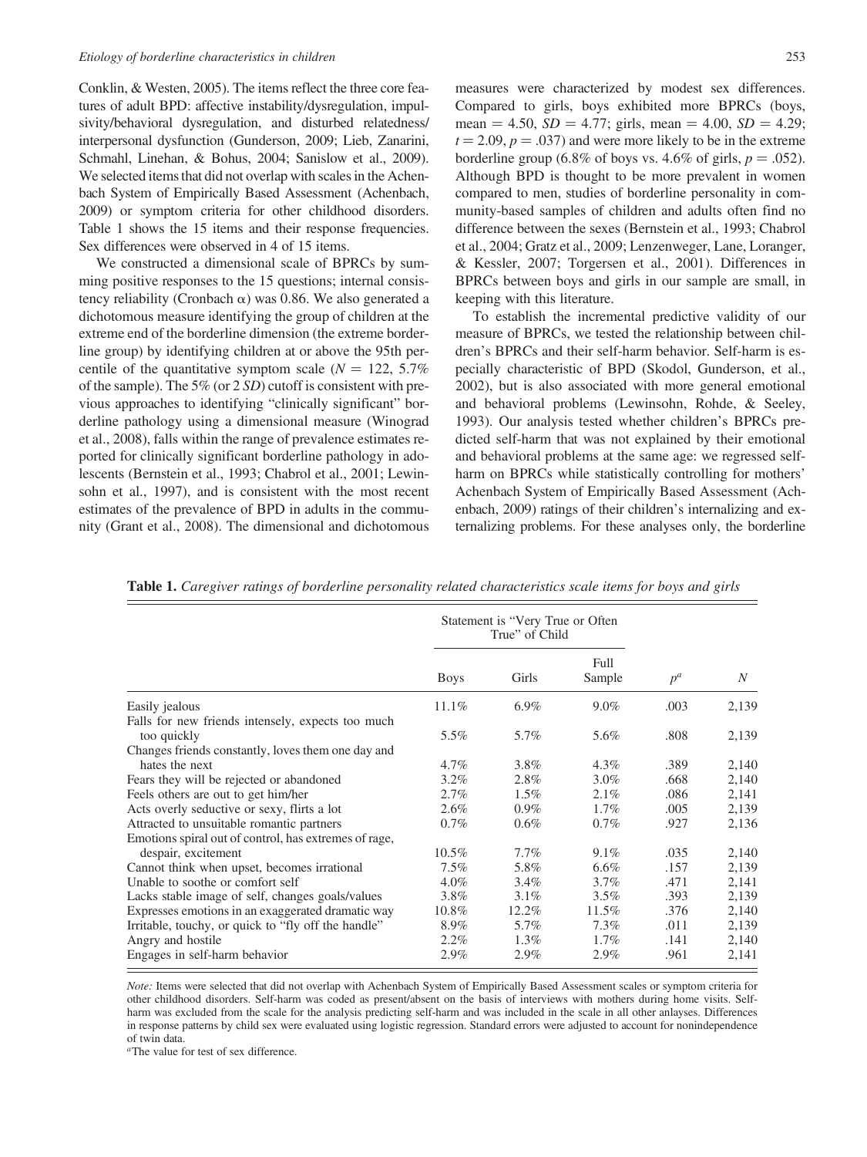Conklin, & Westen, 2005). The items reflect the three core features of adult BPD: affective instability/dysregulation, impulsivity/behavioral dysregulation, and disturbed relatedness/ interpersonal dysfunction (Gunderson, 2009; Lieb, Zanarini, Schmahl, Linehan, & Bohus, 2004; Sanislow et al., 2009). We selected items that did not overlap with scales in the Achenbach System of Empirically Based Assessment (Achenbach, 2009) or symptom criteria for other childhood disorders. Table 1 shows the 15 items and their response frequencies. Sex differences were observed in 4 of 15 items.

We constructed a dimensional scale of BPRCs by summing positive responses to the 15 questions; internal consistency reliability (Cronbach  $\alpha$ ) was 0.86. We also generated a dichotomous measure identifying the group of children at the extreme end of the borderline dimension (the extreme borderline group) by identifying children at or above the 95th percentile of the quantitative symptom scale ( $N = 122, 5.7\%$ ) of the sample). The 5% (or 2 SD) cutoff is consistent with previous approaches to identifying "clinically significant" borderline pathology using a dimensional measure (Winograd et al., 2008), falls within the range of prevalence estimates reported for clinically significant borderline pathology in adolescents (Bernstein et al., 1993; Chabrol et al., 2001; Lewinsohn et al., 1997), and is consistent with the most recent estimates of the prevalence of BPD in adults in the community (Grant et al., 2008). The dimensional and dichotomous

measures were characterized by modest sex differences. Compared to girls, boys exhibited more BPRCs (boys, mean = 4.50,  $SD = 4.77$ ; girls, mean = 4.00,  $SD = 4.29$ ;  $t = 2.09, p = .037$  and were more likely to be in the extreme borderline group (6.8% of boys vs. 4.6% of girls,  $p = .052$ ). Although BPD is thought to be more prevalent in women compared to men, studies of borderline personality in community-based samples of children and adults often find no difference between the sexes (Bernstein et al., 1993; Chabrol et al., 2004; Gratz et al., 2009; Lenzenweger, Lane, Loranger, & Kessler, 2007; Torgersen et al., 2001). Differences in BPRCs between boys and girls in our sample are small, in keeping with this literature.

To establish the incremental predictive validity of our measure of BPRCs, we tested the relationship between children's BPRCs and their self-harm behavior. Self-harm is especially characteristic of BPD (Skodol, Gunderson, et al., 2002), but is also associated with more general emotional and behavioral problems (Lewinsohn, Rohde, & Seeley, 1993). Our analysis tested whether children's BPRCs predicted self-harm that was not explained by their emotional and behavioral problems at the same age: we regressed selfharm on BPRCs while statistically controlling for mothers' Achenbach System of Empirically Based Assessment (Achenbach, 2009) ratings of their children's internalizing and externalizing problems. For these analyses only, the borderline

Table 1. Caregiver ratings of borderline personality related characteristics scale items for boys and girls

|                                                       | Statement is "Very True or Often<br>True" of Child |         |                |       |       |
|-------------------------------------------------------|----------------------------------------------------|---------|----------------|-------|-------|
|                                                       | <b>Boys</b>                                        | Girls   | Full<br>Sample | $p^a$ | N     |
| Easily jealous                                        | 11.1%                                              | $6.9\%$ | $9.0\%$        | .003  | 2,139 |
| Falls for new friends intensely, expects too much     |                                                    |         |                |       |       |
| too quickly                                           | 5.5%                                               | 5.7%    | 5.6%           | .808  | 2,139 |
| Changes friends constantly, loves them one day and    |                                                    |         |                |       |       |
| hates the next                                        | $4.7\%$                                            | 3.8%    | $4.3\%$        | .389  | 2,140 |
| Fears they will be rejected or abandoned              | $3.2\%$                                            | 2.8%    | $3.0\%$        | .668  | 2,140 |
| Feels others are out to get him/her                   | $2.7\%$                                            | $1.5\%$ | $2.1\%$        | .086  | 2,141 |
| Acts overly seductive or sexy, flirts a lot           | $2.6\%$                                            | $0.9\%$ | $1.7\%$        | .005  | 2,139 |
| Attracted to unsuitable romantic partners             | $0.7\%$                                            | $0.6\%$ | $0.7\%$        | .927  | 2,136 |
| Emotions spiral out of control, has extremes of rage, |                                                    |         |                |       |       |
| despair, excitement                                   | $10.5\%$                                           | $7.7\%$ | $9.1\%$        | .035  | 2,140 |
| Cannot think when upset, becomes irrational           | $7.5\%$                                            | 5.8%    | $6.6\%$        | .157  | 2,139 |
| Unable to soothe or comfort self                      | $4.0\%$                                            | $3.4\%$ | $3.7\%$        | .471  | 2,141 |
| Lacks stable image of self, changes goals/values      | 3.8%                                               | $3.1\%$ | $3.5\%$        | .393  | 2,139 |
| Expresses emotions in an exaggerated dramatic way     | 10.8%                                              | 12.2%   | 11.5%          | .376  | 2,140 |
| Irritable, touchy, or quick to "fly off the handle"   | 8.9%                                               | 5.7%    | $7.3\%$        | .011  | 2,139 |
| Angry and hostile                                     | $2.2\%$                                            | $1.3\%$ | $1.7\%$        | .141  | 2,140 |
| Engages in self-harm behavior                         | 2.9%                                               | 2.9%    | 2.9%           | .961  | 2,141 |

Note: Items were selected that did not overlap with Achenbach System of Empirically Based Assessment scales or symptom criteria for other childhood disorders. Self-harm was coded as present/absent on the basis of interviews with mothers during home visits. Selfharm was excluded from the scale for the analysis predicting self-harm and was included in the scale in all other anlayses. Differences in response patterns by child sex were evaluated using logistic regression. Standard errors were adjusted to account for nonindependence of twin data.

<sup>a</sup>The value for test of sex difference.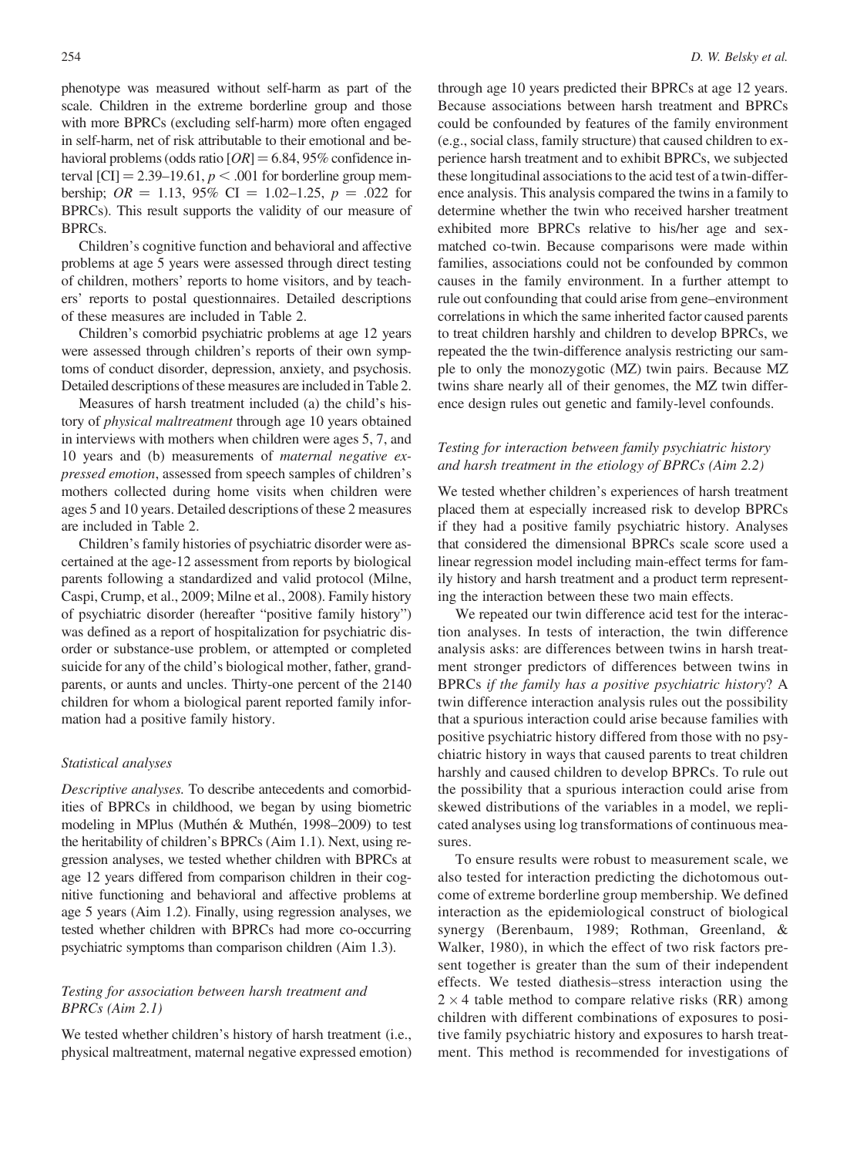phenotype was measured without self-harm as part of the scale. Children in the extreme borderline group and those with more BPRCs (excluding self-harm) more often engaged in self-harm, net of risk attributable to their emotional and behavioral problems (odds ratio  $[OR] = 6.84, 95\%$  confidence interval [CI] = 2.39–19.61,  $p < .001$  for borderline group membership;  $OR = 1.13$ , 95% CI = 1.02–1.25,  $p = .022$  for BPRCs). This result supports the validity of our measure of BPRCs.

Children's cognitive function and behavioral and affective problems at age 5 years were assessed through direct testing of children, mothers' reports to home visitors, and by teachers' reports to postal questionnaires. Detailed descriptions of these measures are included in Table 2.

Children's comorbid psychiatric problems at age 12 years were assessed through children's reports of their own symptoms of conduct disorder, depression, anxiety, and psychosis. Detailed descriptions of these measures are included in Table 2.

Measures of harsh treatment included (a) the child's history of physical maltreatment through age 10 years obtained in interviews with mothers when children were ages 5, 7, and 10 years and (b) measurements of maternal negative expressed emotion, assessed from speech samples of children's mothers collected during home visits when children were ages 5 and 10 years. Detailed descriptions of these 2 measures are included in Table 2.

Children's family histories of psychiatric disorder were ascertained at the age-12 assessment from reports by biological parents following a standardized and valid protocol (Milne, Caspi, Crump, et al., 2009; Milne et al., 2008). Family history of psychiatric disorder (hereafter "positive family history") was defined as a report of hospitalization for psychiatric disorder or substance-use problem, or attempted or completed suicide for any of the child's biological mother, father, grandparents, or aunts and uncles. Thirty-one percent of the 2140 children for whom a biological parent reported family information had a positive family history.

#### Statistical analyses

Descriptive analyses. To describe antecedents and comorbidities of BPRCs in childhood, we began by using biometric modeling in MPlus (Muthén & Muthén, 1998–2009) to test the heritability of children's BPRCs (Aim 1.1). Next, using regression analyses, we tested whether children with BPRCs at age 12 years differed from comparison children in their cognitive functioning and behavioral and affective problems at age 5 years (Aim 1.2). Finally, using regression analyses, we tested whether children with BPRCs had more co-occurring psychiatric symptoms than comparison children (Aim 1.3).

## Testing for association between harsh treatment and BPRCs (Aim 2.1)

We tested whether children's history of harsh treatment (i.e., physical maltreatment, maternal negative expressed emotion)

through age 10 years predicted their BPRCs at age 12 years. Because associations between harsh treatment and BPRCs could be confounded by features of the family environment (e.g., social class, family structure) that caused children to experience harsh treatment and to exhibit BPRCs, we subjected these longitudinal associations to the acid test of a twin-difference analysis. This analysis compared the twins in a family to determine whether the twin who received harsher treatment exhibited more BPRCs relative to his/her age and sexmatched co-twin. Because comparisons were made within families, associations could not be confounded by common causes in the family environment. In a further attempt to rule out confounding that could arise from gene–environment correlations in which the same inherited factor caused parents to treat children harshly and children to develop BPRCs, we repeated the the twin-difference analysis restricting our sample to only the monozygotic (MZ) twin pairs. Because MZ twins share nearly all of their genomes, the MZ twin difference design rules out genetic and family-level confounds.

## Testing for interaction between family psychiatric history and harsh treatment in the etiology of BPRCs (Aim 2.2)

We tested whether children's experiences of harsh treatment placed them at especially increased risk to develop BPRCs if they had a positive family psychiatric history. Analyses that considered the dimensional BPRCs scale score used a linear regression model including main-effect terms for family history and harsh treatment and a product term representing the interaction between these two main effects.

We repeated our twin difference acid test for the interaction analyses. In tests of interaction, the twin difference analysis asks: are differences between twins in harsh treatment stronger predictors of differences between twins in BPRCs if the family has a positive psychiatric history? A twin difference interaction analysis rules out the possibility that a spurious interaction could arise because families with positive psychiatric history differed from those with no psychiatric history in ways that caused parents to treat children harshly and caused children to develop BPRCs. To rule out the possibility that a spurious interaction could arise from skewed distributions of the variables in a model, we replicated analyses using log transformations of continuous measures.

To ensure results were robust to measurement scale, we also tested for interaction predicting the dichotomous outcome of extreme borderline group membership. We defined interaction as the epidemiological construct of biological synergy (Berenbaum, 1989; Rothman, Greenland, & Walker, 1980), in which the effect of two risk factors present together is greater than the sum of their independent effects. We tested diathesis–stress interaction using the  $2 \times 4$  table method to compare relative risks (RR) among children with different combinations of exposures to positive family psychiatric history and exposures to harsh treatment. This method is recommended for investigations of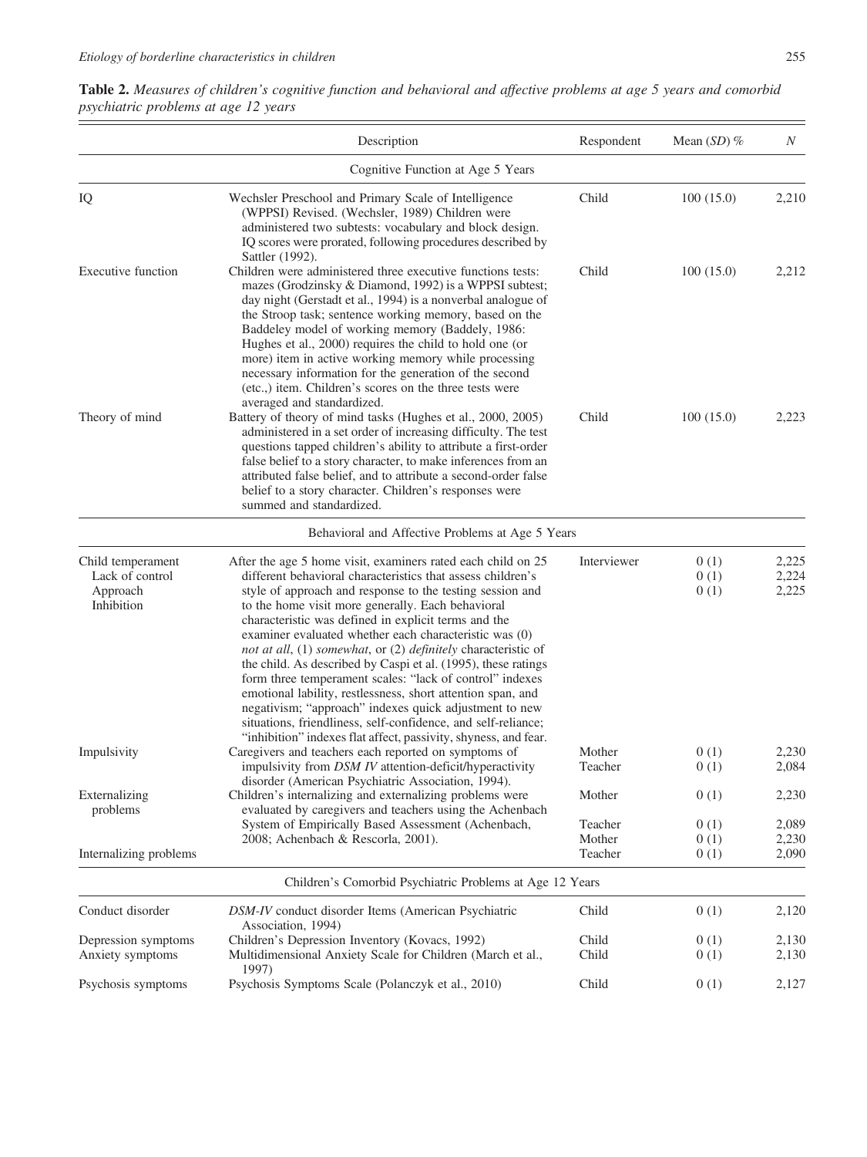|                                                                | Description                                                                                                                                                                                                                                                                                                                                                                                                                                                                                                                                                                                                                                                                                                                                                                                                                | Respondent                   | Mean $(SD)$ %        | $\boldsymbol{N}$        |
|----------------------------------------------------------------|----------------------------------------------------------------------------------------------------------------------------------------------------------------------------------------------------------------------------------------------------------------------------------------------------------------------------------------------------------------------------------------------------------------------------------------------------------------------------------------------------------------------------------------------------------------------------------------------------------------------------------------------------------------------------------------------------------------------------------------------------------------------------------------------------------------------------|------------------------------|----------------------|-------------------------|
|                                                                | Cognitive Function at Age 5 Years                                                                                                                                                                                                                                                                                                                                                                                                                                                                                                                                                                                                                                                                                                                                                                                          |                              |                      |                         |
| IQ                                                             | Wechsler Preschool and Primary Scale of Intelligence<br>(WPPSI) Revised. (Wechsler, 1989) Children were<br>administered two subtests: vocabulary and block design.<br>IQ scores were prorated, following procedures described by<br>Sattler (1992).                                                                                                                                                                                                                                                                                                                                                                                                                                                                                                                                                                        | Child                        | 100(15.0)            | 2,210                   |
| <b>Executive function</b>                                      | Children were administered three executive functions tests:<br>mazes (Grodzinsky & Diamond, 1992) is a WPPSI subtest;<br>day night (Gerstadt et al., 1994) is a nonverbal analogue of<br>the Stroop task; sentence working memory, based on the<br>Baddeley model of working memory (Baddely, 1986:<br>Hughes et al., 2000) requires the child to hold one (or<br>more) item in active working memory while processing<br>necessary information for the generation of the second<br>(etc.,) item. Children's scores on the three tests were<br>averaged and standardized.                                                                                                                                                                                                                                                  | Child                        | 100(15.0)            | 2,212                   |
| Theory of mind                                                 | Battery of theory of mind tasks (Hughes et al., 2000, 2005)<br>administered in a set order of increasing difficulty. The test<br>questions tapped children's ability to attribute a first-order<br>false belief to a story character, to make inferences from an<br>attributed false belief, and to attribute a second-order false<br>belief to a story character. Children's responses were<br>summed and standardized.                                                                                                                                                                                                                                                                                                                                                                                                   | Child                        | 100(15.0)            | 2,223                   |
|                                                                | Behavioral and Affective Problems at Age 5 Years                                                                                                                                                                                                                                                                                                                                                                                                                                                                                                                                                                                                                                                                                                                                                                           |                              |                      |                         |
| Child temperament<br>Lack of control<br>Approach<br>Inhibition | After the age 5 home visit, examiners rated each child on 25<br>different behavioral characteristics that assess children's<br>style of approach and response to the testing session and<br>to the home visit more generally. Each behavioral<br>characteristic was defined in explicit terms and the<br>examiner evaluated whether each characteristic was (0)<br>not at all, (1) somewhat, or (2) definitely characteristic of<br>the child. As described by Caspi et al. (1995), these ratings<br>form three temperament scales: "lack of control" indexes<br>emotional lability, restlessness, short attention span, and<br>negativism; "approach" indexes quick adjustment to new<br>situations, friendliness, self-confidence, and self-reliance;<br>"inhibition" indexes flat affect, passivity, shyness, and fear. | Interviewer                  | 0(1)<br>0(1)<br>0(1) | 2,225<br>2,224<br>2,225 |
| Impulsivity                                                    | Caregivers and teachers each reported on symptoms of<br>impulsivity from DSM IV attention-deficit/hyperactivity<br>disorder (American Psychiatric Association, 1994).                                                                                                                                                                                                                                                                                                                                                                                                                                                                                                                                                                                                                                                      | Mother<br>Teacher            | 0(1)<br>0(1)         | 2,230<br>2,084          |
| Externalizing<br>problems                                      | Children's internalizing and externalizing problems were<br>evaluated by caregivers and teachers using the Achenbach                                                                                                                                                                                                                                                                                                                                                                                                                                                                                                                                                                                                                                                                                                       | Mother                       | 0(1)                 | 2,230                   |
| Internalizing problems                                         | System of Empirically Based Assessment (Achenbach,<br>2008; Achenbach & Rescorla, 2001).                                                                                                                                                                                                                                                                                                                                                                                                                                                                                                                                                                                                                                                                                                                                   | Teacher<br>Mother<br>Teacher | 0(1)<br>0(1)<br>0(1) | 2,089<br>2,230<br>2,090 |
|                                                                | Children's Comorbid Psychiatric Problems at Age 12 Years                                                                                                                                                                                                                                                                                                                                                                                                                                                                                                                                                                                                                                                                                                                                                                   |                              |                      |                         |
| Conduct disorder                                               | DSM-IV conduct disorder Items (American Psychiatric<br>Association, 1994)                                                                                                                                                                                                                                                                                                                                                                                                                                                                                                                                                                                                                                                                                                                                                  | Child                        | 0(1)                 | 2,120                   |
| Depression symptoms<br>Anxiety symptoms                        | Children's Depression Inventory (Kovacs, 1992)<br>Multidimensional Anxiety Scale for Children (March et al.,<br>1997)                                                                                                                                                                                                                                                                                                                                                                                                                                                                                                                                                                                                                                                                                                      | Child<br>Child               | 0(1)<br>0(1)         | 2,130<br>2,130          |
| Psychosis symptoms                                             | Psychosis Symptoms Scale (Polanczyk et al., 2010)                                                                                                                                                                                                                                                                                                                                                                                                                                                                                                                                                                                                                                                                                                                                                                          | Child                        | 0(1)                 | 2,127                   |

| Table 2. Measures of children's cognitive function and behavioral and affective problems at age 5 years and comorbid |  |  |  |  |
|----------------------------------------------------------------------------------------------------------------------|--|--|--|--|
| psychiatric problems at age 12 years                                                                                 |  |  |  |  |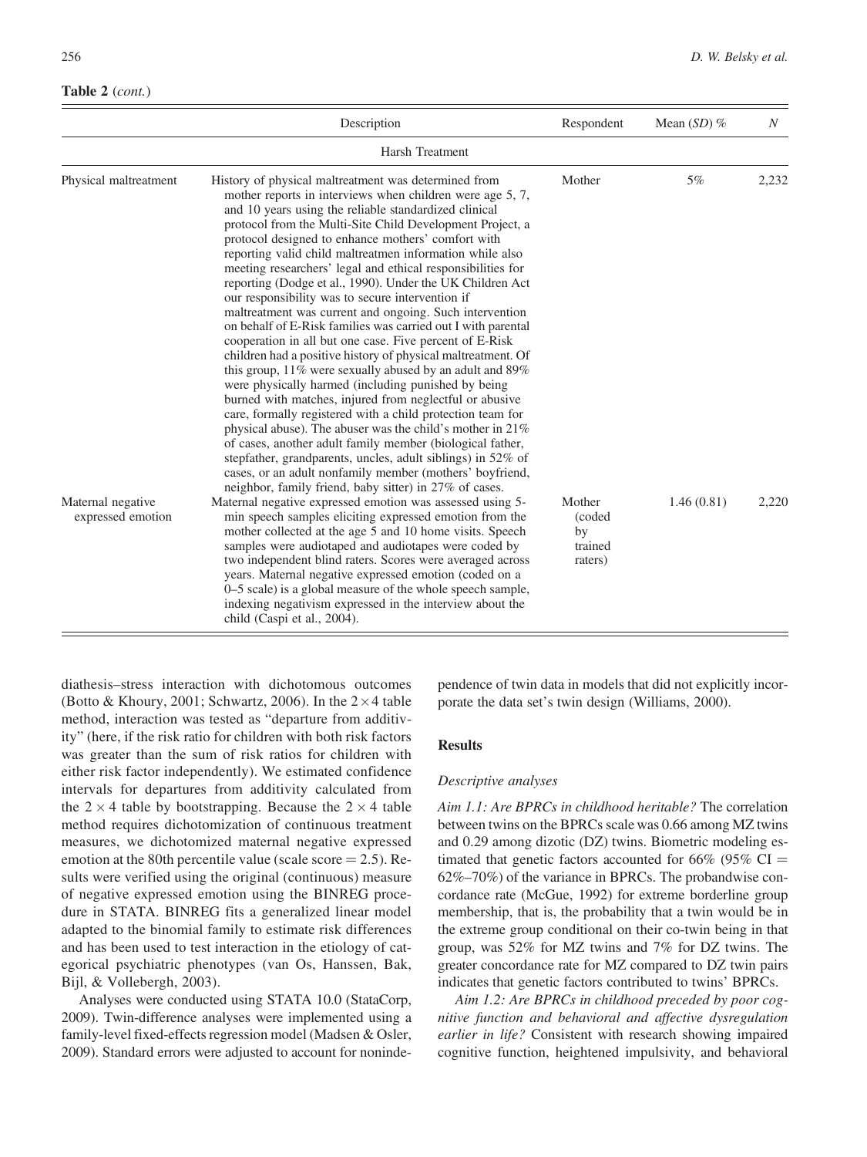#### Table 2 (cont.)

|                                        | Description                                                                                                                                                                                                                                                                                                                                                                                                                                                                                                                                                                                                                                                                                                                                                                                                                                                                                                                                                                                                                                                                                                                                                                                                                                                                                         | Respondent                                   | Mean $(SD)$ % | $\boldsymbol{N}$ |  |  |  |  |
|----------------------------------------|-----------------------------------------------------------------------------------------------------------------------------------------------------------------------------------------------------------------------------------------------------------------------------------------------------------------------------------------------------------------------------------------------------------------------------------------------------------------------------------------------------------------------------------------------------------------------------------------------------------------------------------------------------------------------------------------------------------------------------------------------------------------------------------------------------------------------------------------------------------------------------------------------------------------------------------------------------------------------------------------------------------------------------------------------------------------------------------------------------------------------------------------------------------------------------------------------------------------------------------------------------------------------------------------------------|----------------------------------------------|---------------|------------------|--|--|--|--|
| Harsh Treatment                        |                                                                                                                                                                                                                                                                                                                                                                                                                                                                                                                                                                                                                                                                                                                                                                                                                                                                                                                                                                                                                                                                                                                                                                                                                                                                                                     |                                              |               |                  |  |  |  |  |
| Physical maltreatment                  | History of physical maltreatment was determined from<br>mother reports in interviews when children were age 5, 7,<br>and 10 years using the reliable standardized clinical<br>protocol from the Multi-Site Child Development Project, a<br>protocol designed to enhance mothers' comfort with<br>reporting valid child maltreatmen information while also<br>meeting researchers' legal and ethical responsibilities for<br>reporting (Dodge et al., 1990). Under the UK Children Act<br>our responsibility was to secure intervention if<br>maltreatment was current and ongoing. Such intervention<br>on behalf of E-Risk families was carried out I with parental<br>cooperation in all but one case. Five percent of E-Risk<br>children had a positive history of physical maltreatment. Of<br>this group, $11\%$ were sexually abused by an adult and 89%<br>were physically harmed (including punished by being<br>burned with matches, injured from neglectful or abusive<br>care, formally registered with a child protection team for<br>physical abuse). The abuser was the child's mother in 21%<br>of cases, another adult family member (biological father,<br>stepfather, grandparents, uncles, adult siblings) in 52% of<br>cases, or an adult nonfamily member (mothers' boyfriend, | Mother                                       | $5\%$         | 2,232            |  |  |  |  |
| Maternal negative<br>expressed emotion | neighbor, family friend, baby sitter) in 27% of cases.<br>Maternal negative expressed emotion was assessed using 5-<br>min speech samples eliciting expressed emotion from the<br>mother collected at the age 5 and 10 home visits. Speech<br>samples were audiotaped and audiotapes were coded by<br>two independent blind raters. Scores were averaged across<br>years. Maternal negative expressed emotion (coded on a<br>0–5 scale) is a global measure of the whole speech sample,<br>indexing negativism expressed in the interview about the<br>child (Caspi et al., 2004).                                                                                                                                                                                                                                                                                                                                                                                                                                                                                                                                                                                                                                                                                                                  | Mother<br>(coded<br>by<br>trained<br>raters) | 1.46(0.81)    | 2,220            |  |  |  |  |

diathesis–stress interaction with dichotomous outcomes (Botto & Khoury, 2001; Schwartz, 2006). In the  $2 \times 4$  table method, interaction was tested as "departure from additivity" (here, if the risk ratio for children with both risk factors was greater than the sum of risk ratios for children with either risk factor independently). We estimated confidence intervals for departures from additivity calculated from the  $2 \times 4$  table by bootstrapping. Because the  $2 \times 4$  table method requires dichotomization of continuous treatment measures, we dichotomized maternal negative expressed emotion at the 80th percentile value (scale score  $= 2.5$ ). Results were verified using the original (continuous) measure of negative expressed emotion using the BINREG procedure in STATA. BINREG fits a generalized linear model adapted to the binomial family to estimate risk differences and has been used to test interaction in the etiology of categorical psychiatric phenotypes (van Os, Hanssen, Bak, Bijl, & Vollebergh, 2003).

Analyses were conducted using STATA 10.0 (StataCorp, 2009). Twin-difference analyses were implemented using a family-level fixed-effects regression model (Madsen & Osler, 2009). Standard errors were adjusted to account for nonindependence of twin data in models that did not explicitly incorporate the data set's twin design (Williams, 2000).

## Results

#### Descriptive analyses

Aim 1.1: Are BPRCs in childhood heritable? The correlation between twins on the BPRCs scale was 0.66 among MZ twins and 0.29 among dizotic (DZ) twins. Biometric modeling estimated that genetic factors accounted for 66% (95% CI = 62%–70%) of the variance in BPRCs. The probandwise concordance rate (McGue, 1992) for extreme borderline group membership, that is, the probability that a twin would be in the extreme group conditional on their co-twin being in that group, was 52% for MZ twins and 7% for DZ twins. The greater concordance rate for MZ compared to DZ twin pairs indicates that genetic factors contributed to twins' BPRCs.

Aim 1.2: Are BPRCs in childhood preceded by poor cognitive function and behavioral and affective dysregulation earlier in life? Consistent with research showing impaired cognitive function, heightened impulsivity, and behavioral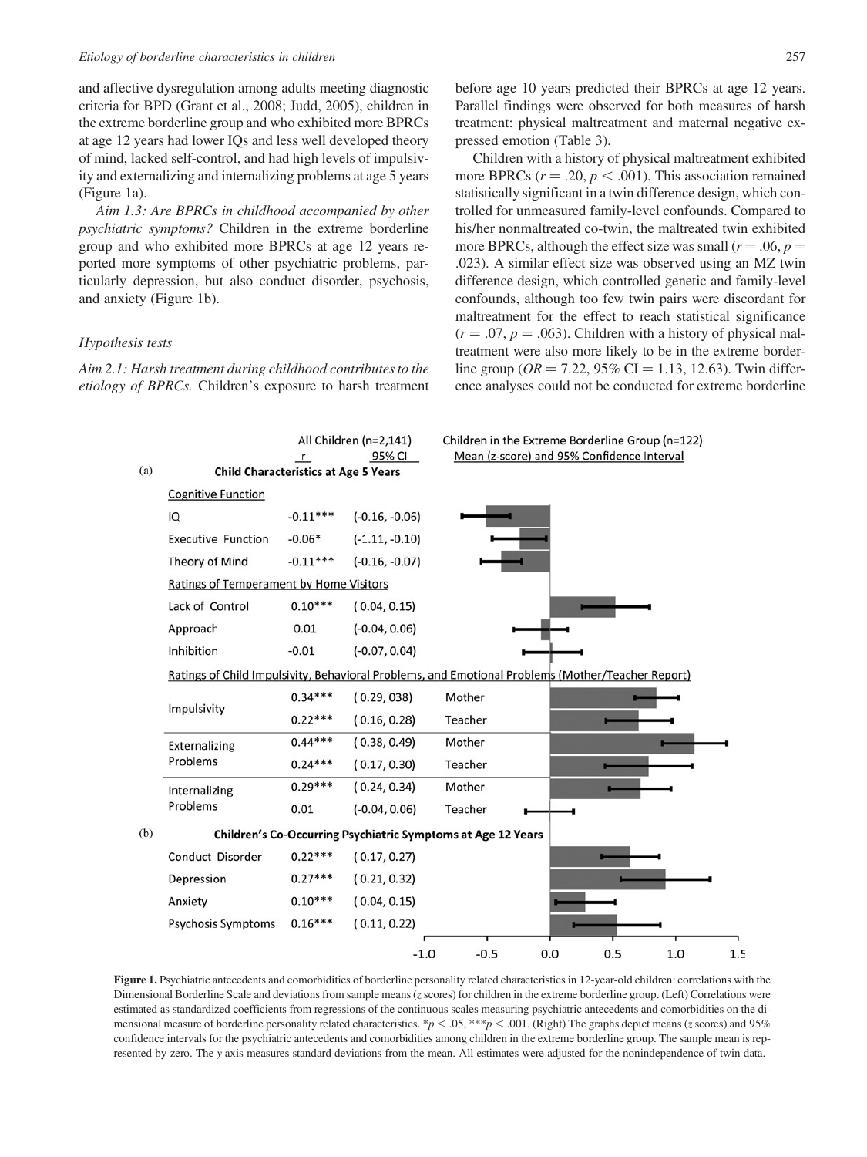and affective dysregulation among adults meeting diagnostic criteria for BPD (Grant et al., 2008; Judd, 2005), children in the extreme borderline group and who exhibited more BPRCs at age 12 years had lower IQs and less well developed theory of mind, lacked self-control, and had high levels of impulsivity and externalizing and internalizing problems at age 5 years (Figure 1a).

Aim 1.3: Are BPRCs in childhood accompanied by other psychiatric symptoms? Children in the extreme borderline group and who exhibited more BPRCs at age 12 years reported more symptoms of other psychiatric problems, particularly depression, but also conduct disorder, psychosis, and anxiety (Figure 1b).

#### Hypothesis tests

Aim 2.1: Harsh treatment during childhood contributes to the etiology of BPRCs. Children's exposure to harsh treatment before age 10 years predicted their BPRCs at age 12 years. Parallel findings were observed for both measures of harsh treatment: physical maltreatment and maternal negative expressed emotion (Table 3).

Children with a history of physical maltreatment exhibited more BPRCs ( $r = .20$ ,  $p < .001$ ). This association remained statistically significant in a twin difference design, which controlled for unmeasured family-level confounds. Compared to his/her nonmaltreated co-twin, the maltreated twin exhibited more BPRCs, although the effect size was small ( $r = .06$ ,  $p =$ .023). A similar effect size was observed using an MZ twin difference design, which controlled genetic and family-level confounds, although too few twin pairs were discordant for maltreatment for the effect to reach statistical significance  $(r = .07, p = .063)$ . Children with a history of physical maltreatment were also more likely to be in the extreme borderline group ( $OR = 7.22$ , 95% CI = 1.13, 12.63). Twin difference analyses could not be conducted for extreme borderline



Figure 1. Psychiatric antecedents and comorbidities of borderline personality related characteristics in 12-year-old children: correlations with the Dimensional Borderline Scale and deviations from sample means (z scores) for children in the extreme borderline group. (Left) Correlations were estimated as standardized coefficients from regressions of the continuous scales measuring psychiatric antecedents and comorbidities on the dimensional measure of borderline personality related characteristics. \*p < .05, \*\*\*p < .001. (Right) The graphs depict means (z scores) and 95% confidence intervals for the psychiatric antecedents and comorbidities among children in the extreme borderline group. The sample mean is represented by zero. The y axis measures standard deviations from the mean. All estimates were adjusted for the nonindependence of twin data.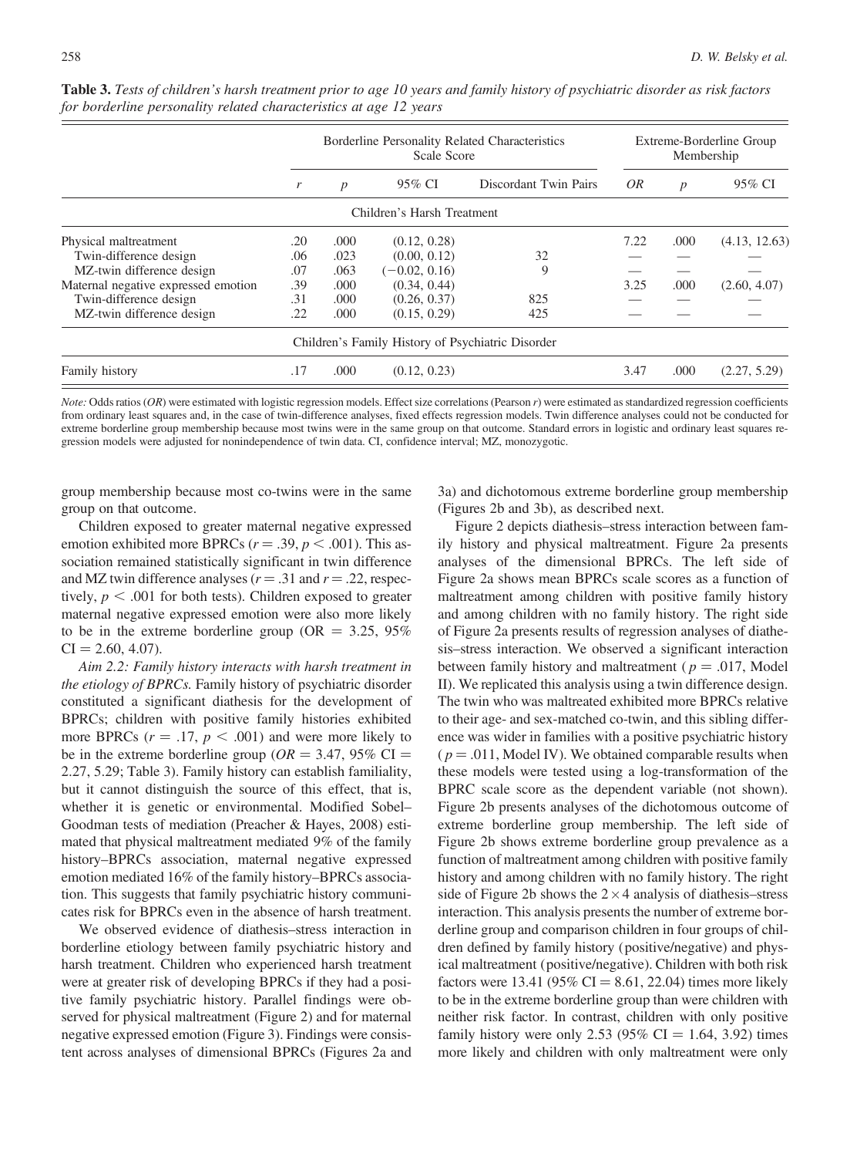|                                     | Borderline Personality Related Characteristics<br>Scale Score |                                                     |                                                   |     | Extreme-Borderline Group<br>Membership |        |               |
|-------------------------------------|---------------------------------------------------------------|-----------------------------------------------------|---------------------------------------------------|-----|----------------------------------------|--------|---------------|
|                                     | r                                                             | 95% CI<br>Discordant Twin Pairs<br>$\boldsymbol{p}$ |                                                   | 0R  | $\boldsymbol{p}$                       | 95% CI |               |
|                                     |                                                               |                                                     | Children's Harsh Treatment                        |     |                                        |        |               |
| Physical maltreatment               | .20                                                           | .000                                                | (0.12, 0.28)                                      |     | 7.22                                   | .000   | (4.13, 12.63) |
| Twin-difference design              | .06                                                           | .023                                                | (0.00, 0.12)                                      | 32  |                                        |        |               |
| MZ-twin difference design           | .07                                                           | .063                                                | $(-0.02, 0.16)$                                   | 9   |                                        |        |               |
| Maternal negative expressed emotion | .39                                                           | .000                                                | (0.34, 0.44)                                      |     | 3.25                                   | .000   | (2.60, 4.07)  |
| Twin-difference design              | .31                                                           | .000                                                | (0.26, 0.37)                                      | 825 |                                        |        |               |
| MZ-twin difference design           | .22                                                           | .000                                                | (0.15, 0.29)                                      | 425 |                                        |        |               |
|                                     |                                                               |                                                     | Children's Family History of Psychiatric Disorder |     |                                        |        |               |
| Family history                      | .17                                                           | .000                                                | (0.12, 0.23)                                      |     | 3.47                                   | .000   | (2.27, 5.29)  |

Table 3. Tests of children's harsh treatment prior to age 10 years and family history of psychiatric disorder as risk factors for borderline personality related characteristics at age 12 years

Note: Odds ratios (OR) were estimated with logistic regression models. Effect size correlations (Pearson r) were estimated as standardized regression coefficients from ordinary least squares and, in the case of twin-difference analyses, fixed effects regression models. Twin difference analyses could not be conducted for extreme borderline group membership because most twins were in the same group on that outcome. Standard errors in logistic and ordinary least squares regression models were adjusted for nonindependence of twin data. CI, confidence interval; MZ, monozygotic.

group membership because most co-twins were in the same group on that outcome.

Children exposed to greater maternal negative expressed emotion exhibited more BPRCs ( $r = .39$ ,  $p < .001$ ). This association remained statistically significant in twin difference and MZ twin difference analyses ( $r = .31$  and  $r = .22$ , respectively,  $p < .001$  for both tests). Children exposed to greater maternal negative expressed emotion were also more likely to be in the extreme borderline group ( $OR = 3.25, 95\%$  $CI = 2.60, 4.07$ .

Aim 2.2: Family history interacts with harsh treatment in the etiology of BPRCs. Family history of psychiatric disorder constituted a significant diathesis for the development of BPRCs; children with positive family histories exhibited more BPRCs ( $r = .17$ ,  $p < .001$ ) and were more likely to be in the extreme borderline group ( $OR = 3.47$ , 95% CI = 2.27, 5.29; Table 3). Family history can establish familiality, but it cannot distinguish the source of this effect, that is, whether it is genetic or environmental. Modified Sobel– Goodman tests of mediation (Preacher & Hayes, 2008) estimated that physical maltreatment mediated 9% of the family history–BPRCs association, maternal negative expressed emotion mediated 16% of the family history–BPRCs association. This suggests that family psychiatric history communicates risk for BPRCs even in the absence of harsh treatment.

We observed evidence of diathesis–stress interaction in borderline etiology between family psychiatric history and harsh treatment. Children who experienced harsh treatment were at greater risk of developing BPRCs if they had a positive family psychiatric history. Parallel findings were observed for physical maltreatment (Figure 2) and for maternal negative expressed emotion (Figure 3). Findings were consistent across analyses of dimensional BPRCs (Figures 2a and

3a) and dichotomous extreme borderline group membership (Figures 2b and 3b), as described next.

Figure 2 depicts diathesis–stress interaction between family history and physical maltreatment. Figure 2a presents analyses of the dimensional BPRCs. The left side of Figure 2a shows mean BPRCs scale scores as a function of maltreatment among children with positive family history and among children with no family history. The right side of Figure 2a presents results of regression analyses of diathesis–stress interaction. We observed a significant interaction between family history and maltreatment ( $p = .017$ , Model II). We replicated this analysis using a twin difference design. The twin who was maltreated exhibited more BPRCs relative to their age- and sex-matched co-twin, and this sibling difference was wider in families with a positive psychiatric history  $(p = .011,$  Model IV). We obtained comparable results when these models were tested using a log-transformation of the BPRC scale score as the dependent variable (not shown). Figure 2b presents analyses of the dichotomous outcome of extreme borderline group membership. The left side of Figure 2b shows extreme borderline group prevalence as a function of maltreatment among children with positive family history and among children with no family history. The right side of Figure 2b shows the  $2 \times 4$  analysis of diathesis–stress interaction. This analysis presents the number of extreme borderline group and comparison children in four groups of children defined by family history (positive/negative) and physical maltreatment (positive/negative). Children with both risk factors were 13.41 (95% CI = 8.61, 22.04) times more likely to be in the extreme borderline group than were children with neither risk factor. In contrast, children with only positive family history were only 2.53 (95% CI = 1.64, 3.92) times more likely and children with only maltreatment were only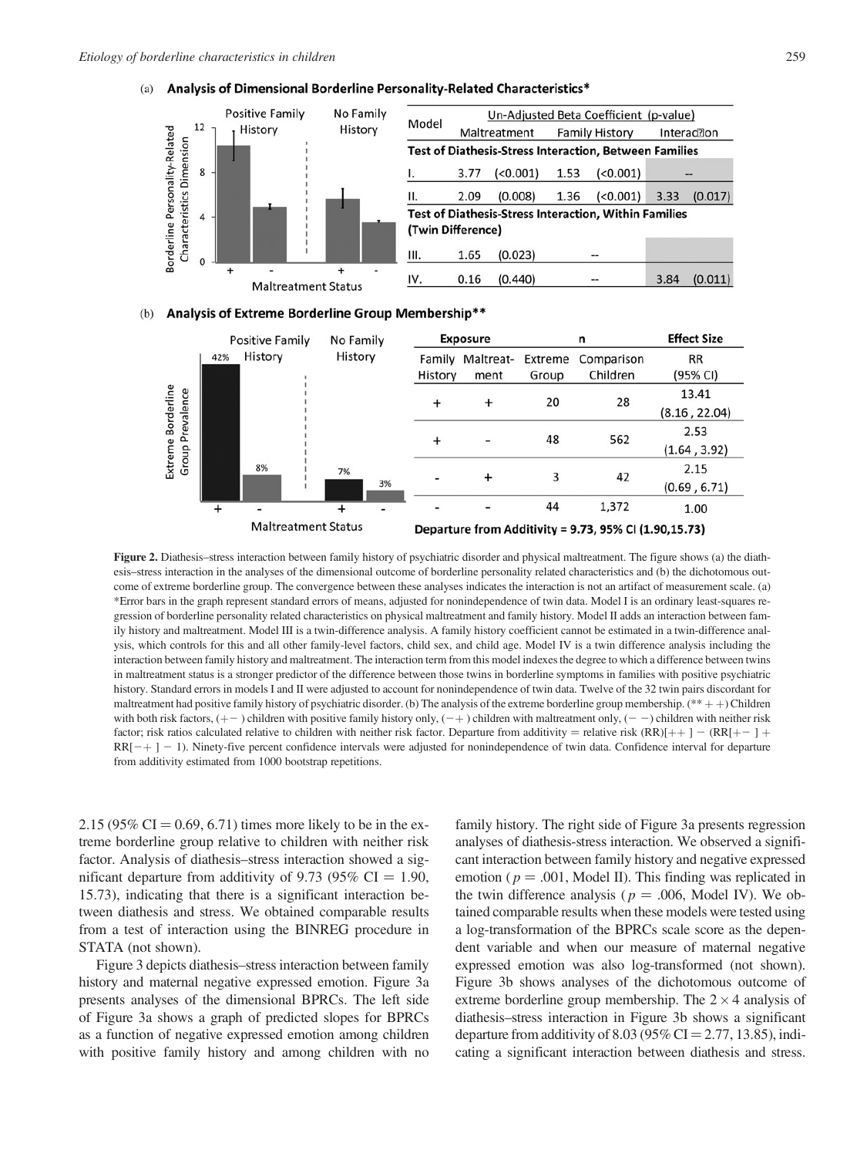



| Family   | Model             | Un-Adjusted Beta Coefficient (p-value) |                                                               |                       |         |                         |         |  |
|----------|-------------------|----------------------------------------|---------------------------------------------------------------|-----------------------|---------|-------------------------|---------|--|
| istory   |                   | Maltreatment                           |                                                               | <b>Family History</b> |         | Interac <sup>2</sup> on |         |  |
|          |                   |                                        | <b>Test of Diathesis-Stress Interaction, Between Families</b> |                       |         |                         |         |  |
|          |                   | 3.77                                   | ( < 0.001)                                                    | 1.53                  | (0.001) | --                      |         |  |
|          | ΙΙ.               | 2.09                                   | (0.008)                                                       | 1.36                  | (0.001) | 3.33                    | (0.017) |  |
|          | (Twin Difference) |                                        | <b>Test of Diathesis-Stress Interaction, Within Families</b>  |                       |         |                         |         |  |
|          | III.              | 1.65                                   | (0.023)                                                       |                       | --      |                         |         |  |
| $\ddots$ | IV.               | 0.16                                   | (0.440)                                                       |                       |         | 3.84                    | (0.011) |  |

#### Analysis of Extreme Borderline Group Membership\*\*  $(b)$



Figure 2. Diathesis–stress interaction between family history of psychiatric disorder and physical maltreatment. The figure shows (a) the diathesis–stress interaction in the analyses of the dimensional outcome of borderline personality related characteristics and (b) the dichotomous outcome of extreme borderline group. The convergence between these analyses indicates the interaction is not an artifact of measurement scale. (a) \*Error bars in the graph represent standard errors of means, adjusted for nonindependence of twin data. Model I is an ordinary least-squares regression of borderline personality related characteristics on physical maltreatment and family history. Model II adds an interaction between family history and maltreatment. Model III is a twin-difference analysis. A family history coefficient cannot be estimated in a twin-difference analysis, which controls for this and all other family-level factors, child sex, and child age. Model IV is a twin difference analysis including the interaction between family history and maltreatment. The interaction term from this model indexes the degree to which a difference between twins in maltreatment status is a stronger predictor of the difference between those twins in borderline symptoms in families with positive psychiatric history. Standard errors in models I and II were adjusted to account for nonindependence of twin data. Twelve of the 32 twin pairs discordant for maltreatment had positive family history of psychiatric disorder. (b) The analysis of the extreme borderline group membership. (\*\* + +) Children with both risk factors,  $(+-)$  children with positive family history only,  $(-+)$  children with maltreatment only,  $(--)$  children with neither risk factor; risk ratios calculated relative to children with neither risk factor. Departure from additivity = relative risk (RR)[++] - (RR[+-] +  $RR[-+]-1$ ). Ninety-five percent confidence intervals were adjusted for nonindependence of twin data. Confidence interval for departure from additivity estimated from 1000 bootstrap repetitions.

2.15 (95% CI = 0.69, 6.71) times more likely to be in the extreme borderline group relative to children with neither risk factor. Analysis of diathesis–stress interaction showed a significant departure from additivity of 9.73 (95%  $CI = 1.90$ , 15.73), indicating that there is a significant interaction between diathesis and stress. We obtained comparable results from a test of interaction using the BINREG procedure in STATA (not shown).

Figure 3 depicts diathesis–stress interaction between family history and maternal negative expressed emotion. Figure 3a presents analyses of the dimensional BPRCs. The left side of Figure 3a shows a graph of predicted slopes for BPRCs as a function of negative expressed emotion among children with positive family history and among children with no

family history. The right side of Figure 3a presents regression analyses of diathesis-stress interaction. We observed a significant interaction between family history and negative expressed emotion ( $p = .001$ , Model II). This finding was replicated in the twin difference analysis ( $p = .006$ , Model IV). We obtained comparable results when these models were tested using a log-transformation of the BPRCs scale score as the dependent variable and when our measure of maternal negative expressed emotion was also log-transformed (not shown). Figure 3b shows analyses of the dichotomous outcome of extreme borderline group membership. The  $2 \times 4$  analysis of diathesis–stress interaction in Figure 3b shows a significant departure from additivity of 8.03 (95% CI = 2.77, 13.85), indicating a significant interaction between diathesis and stress.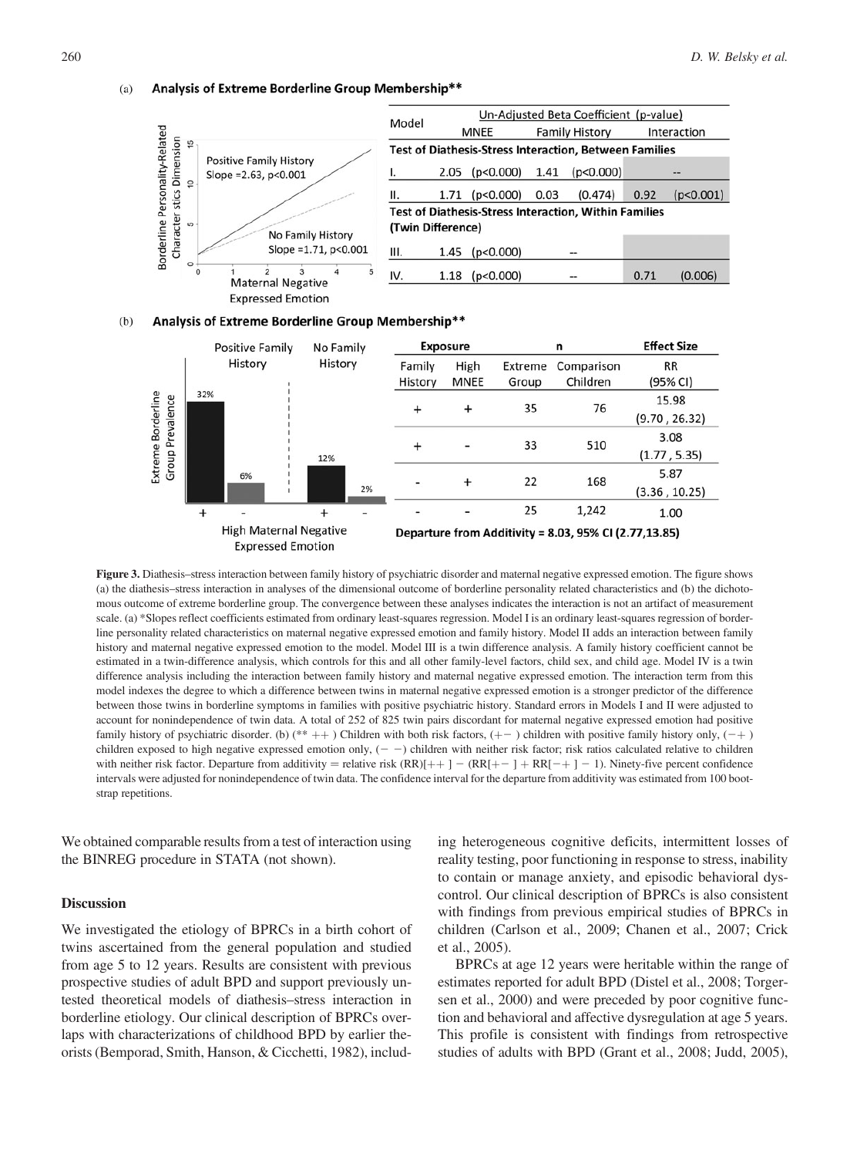#### Analysis of Extreme Borderline Group Membership\*\*  $(a)$



|                     | Model             | Un-Adjusted Beta Coefficient (p-value)                        |  |                       |      |             |  |  |  |
|---------------------|-------------------|---------------------------------------------------------------|--|-----------------------|------|-------------|--|--|--|
|                     |                   | MNEE                                                          |  | <b>Family History</b> |      | Interaction |  |  |  |
|                     |                   | <b>Test of Diathesis-Stress Interaction, Between Families</b> |  |                       |      |             |  |  |  |
|                     |                   | $2.05$ (p<0.000) 1.41 (p<0.000)                               |  |                       |      |             |  |  |  |
|                     | н.                | $1.71$ (p<0.000) 0.03 (0.474) 0.92                            |  |                       |      | (p<0.001)   |  |  |  |
|                     | (Twin Difference) | <b>Test of Diathesis-Stress Interaction, Within Families</b>  |  |                       |      |             |  |  |  |
| story<br>p<0.001    | III.              | $1.45$ (p<0.000)                                              |  |                       |      |             |  |  |  |
| $\overline{4}$<br>5 | IV.               | $1.18$ ( $p < 0.000$ )                                        |  |                       | 0.71 | (0.006)     |  |  |  |





Figure 3. Diathesis–stress interaction between family history of psychiatric disorder and maternal negative expressed emotion. The figure shows (a) the diathesis–stress interaction in analyses of the dimensional outcome of borderline personality related characteristics and (b) the dichotomous outcome of extreme borderline group. The convergence between these analyses indicates the interaction is not an artifact of measurement scale. (a) \*Slopes reflect coefficients estimated from ordinary least-squares regression. Model I is an ordinary least-squares regression of borderline personality related characteristics on maternal negative expressed emotion and family history. Model II adds an interaction between family history and maternal negative expressed emotion to the model. Model III is a twin difference analysis. A family history coefficient cannot be estimated in a twin-difference analysis, which controls for this and all other family-level factors, child sex, and child age. Model IV is a twin difference analysis including the interaction between family history and maternal negative expressed emotion. The interaction term from this model indexes the degree to which a difference between twins in maternal negative expressed emotion is a stronger predictor of the difference between those twins in borderline symptoms in families with positive psychiatric history. Standard errors in Models I and II were adjusted to account for nonindependence of twin data. A total of 252 of 825 twin pairs discordant for maternal negative expressed emotion had positive family history of psychiatric disorder. (b)  $(** + +)$  Children with both risk factors,  $(+-)$  children with positive family history only,  $(-+)$ children exposed to high negative expressed emotion only,  $(- -)$  children with neither risk factor; risk ratios calculated relative to children with neither risk factor. Departure from additivity = relative risk  $(RR)[+]+$   $(RR[+] ] + RR[-+] - 1$ ). Ninety-five percent confidence intervals were adjusted for nonindependence of twin data. The confidence interval for the departure from additivity was estimated from 100 bootstrap repetitions.

We obtained comparable results from a test of interaction using the BINREG procedure in STATA (not shown).

#### **Discussion**

We investigated the etiology of BPRCs in a birth cohort of twins ascertained from the general population and studied from age 5 to 12 years. Results are consistent with previous prospective studies of adult BPD and support previously untested theoretical models of diathesis–stress interaction in borderline etiology. Our clinical description of BPRCs overlaps with characterizations of childhood BPD by earlier theorists (Bemporad, Smith, Hanson, & Cicchetti, 1982), includ-

ing heterogeneous cognitive deficits, intermittent losses of reality testing, poor functioning in response to stress, inability to contain or manage anxiety, and episodic behavioral dyscontrol. Our clinical description of BPRCs is also consistent with findings from previous empirical studies of BPRCs in children (Carlson et al., 2009; Chanen et al., 2007; Crick et al., 2005).

BPRCs at age 12 years were heritable within the range of estimates reported for adult BPD (Distel et al., 2008; Torgersen et al., 2000) and were preceded by poor cognitive function and behavioral and affective dysregulation at age 5 years. This profile is consistent with findings from retrospective studies of adults with BPD (Grant et al., 2008; Judd, 2005),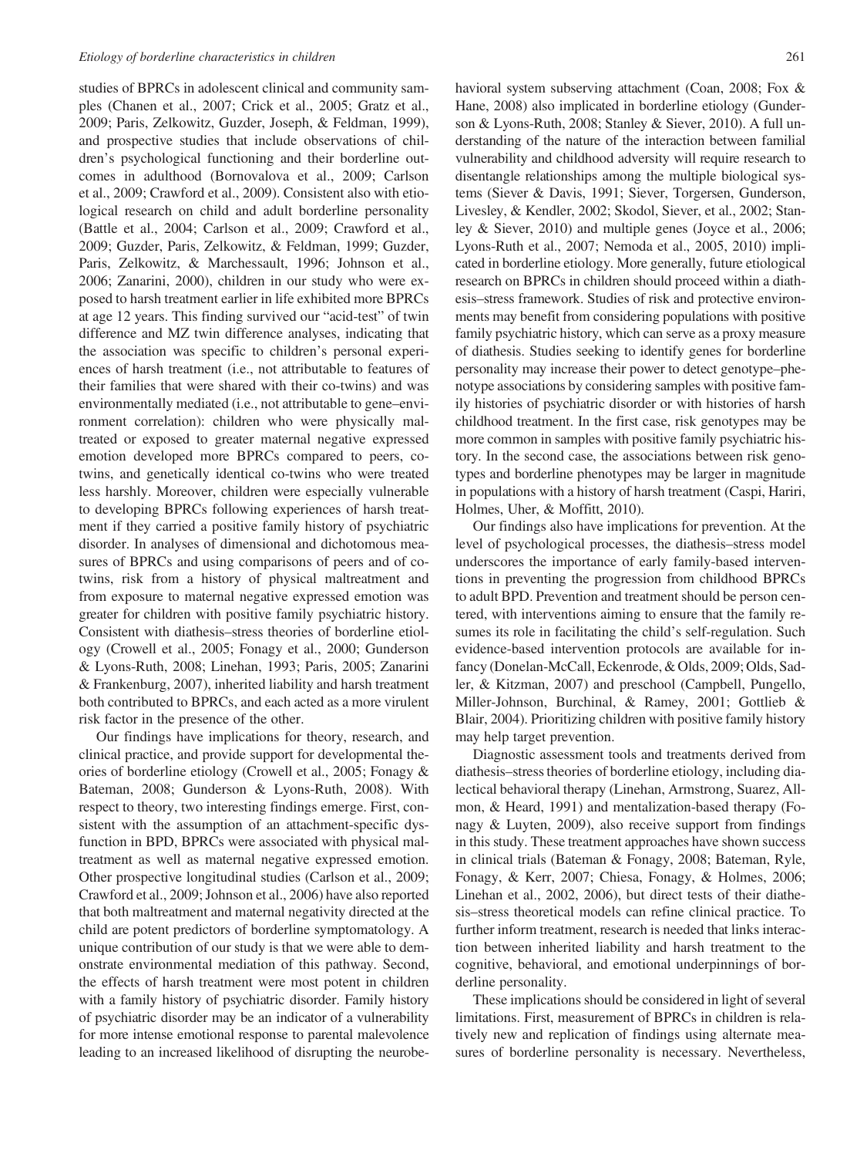studies of BPRCs in adolescent clinical and community samples (Chanen et al., 2007; Crick et al., 2005; Gratz et al., 2009; Paris, Zelkowitz, Guzder, Joseph, & Feldman, 1999), and prospective studies that include observations of children's psychological functioning and their borderline outcomes in adulthood (Bornovalova et al., 2009; Carlson et al., 2009; Crawford et al., 2009). Consistent also with etiological research on child and adult borderline personality (Battle et al., 2004; Carlson et al., 2009; Crawford et al., 2009; Guzder, Paris, Zelkowitz, & Feldman, 1999; Guzder, Paris, Zelkowitz, & Marchessault, 1996; Johnson et al., 2006; Zanarini, 2000), children in our study who were exposed to harsh treatment earlier in life exhibited more BPRCs at age 12 years. This finding survived our "acid-test" of twin difference and MZ twin difference analyses, indicating that the association was specific to children's personal experiences of harsh treatment (i.e., not attributable to features of their families that were shared with their co-twins) and was environmentally mediated (i.e., not attributable to gene–environment correlation): children who were physically maltreated or exposed to greater maternal negative expressed emotion developed more BPRCs compared to peers, cotwins, and genetically identical co-twins who were treated less harshly. Moreover, children were especially vulnerable to developing BPRCs following experiences of harsh treatment if they carried a positive family history of psychiatric disorder. In analyses of dimensional and dichotomous measures of BPRCs and using comparisons of peers and of cotwins, risk from a history of physical maltreatment and from exposure to maternal negative expressed emotion was greater for children with positive family psychiatric history. Consistent with diathesis–stress theories of borderline etiology (Crowell et al., 2005; Fonagy et al., 2000; Gunderson & Lyons-Ruth, 2008; Linehan, 1993; Paris, 2005; Zanarini & Frankenburg, 2007), inherited liability and harsh treatment both contributed to BPRCs, and each acted as a more virulent risk factor in the presence of the other.

Our findings have implications for theory, research, and clinical practice, and provide support for developmental theories of borderline etiology (Crowell et al., 2005; Fonagy & Bateman, 2008; Gunderson & Lyons-Ruth, 2008). With respect to theory, two interesting findings emerge. First, consistent with the assumption of an attachment-specific dysfunction in BPD, BPRCs were associated with physical maltreatment as well as maternal negative expressed emotion. Other prospective longitudinal studies (Carlson et al., 2009; Crawford et al., 2009; Johnson et al., 2006) have also reported that both maltreatment and maternal negativity directed at the child are potent predictors of borderline symptomatology. A unique contribution of our study is that we were able to demonstrate environmental mediation of this pathway. Second, the effects of harsh treatment were most potent in children with a family history of psychiatric disorder. Family history of psychiatric disorder may be an indicator of a vulnerability for more intense emotional response to parental malevolence leading to an increased likelihood of disrupting the neurobehavioral system subserving attachment (Coan, 2008; Fox & Hane, 2008) also implicated in borderline etiology (Gunderson & Lyons-Ruth, 2008; Stanley & Siever, 2010). A full understanding of the nature of the interaction between familial vulnerability and childhood adversity will require research to disentangle relationships among the multiple biological systems (Siever & Davis, 1991; Siever, Torgersen, Gunderson, Livesley, & Kendler, 2002; Skodol, Siever, et al., 2002; Stanley & Siever, 2010) and multiple genes (Joyce et al., 2006; Lyons-Ruth et al., 2007; Nemoda et al., 2005, 2010) implicated in borderline etiology. More generally, future etiological research on BPRCs in children should proceed within a diathesis–stress framework. Studies of risk and protective environments may benefit from considering populations with positive family psychiatric history, which can serve as a proxy measure of diathesis. Studies seeking to identify genes for borderline personality may increase their power to detect genotype–phenotype associations by considering samples with positive family histories of psychiatric disorder or with histories of harsh childhood treatment. In the first case, risk genotypes may be more common in samples with positive family psychiatric history. In the second case, the associations between risk genotypes and borderline phenotypes may be larger in magnitude in populations with a history of harsh treatment (Caspi, Hariri, Holmes, Uher, & Moffitt, 2010).

Our findings also have implications for prevention. At the level of psychological processes, the diathesis–stress model underscores the importance of early family-based interventions in preventing the progression from childhood BPRCs to adult BPD. Prevention and treatment should be person centered, with interventions aiming to ensure that the family resumes its role in facilitating the child's self-regulation. Such evidence-based intervention protocols are available for infancy (Donelan-McCall, Eckenrode, & Olds, 2009; Olds, Sadler, & Kitzman, 2007) and preschool (Campbell, Pungello, Miller-Johnson, Burchinal, & Ramey, 2001; Gottlieb & Blair, 2004). Prioritizing children with positive family history may help target prevention.

Diagnostic assessment tools and treatments derived from diathesis–stress theories of borderline etiology, including dialectical behavioral therapy (Linehan, Armstrong, Suarez, Allmon, & Heard, 1991) and mentalization-based therapy (Fonagy & Luyten, 2009), also receive support from findings in this study. These treatment approaches have shown success in clinical trials (Bateman & Fonagy, 2008; Bateman, Ryle, Fonagy, & Kerr, 2007; Chiesa, Fonagy, & Holmes, 2006; Linehan et al., 2002, 2006), but direct tests of their diathesis–stress theoretical models can refine clinical practice. To further inform treatment, research is needed that links interaction between inherited liability and harsh treatment to the cognitive, behavioral, and emotional underpinnings of borderline personality.

These implications should be considered in light of several limitations. First, measurement of BPRCs in children is relatively new and replication of findings using alternate measures of borderline personality is necessary. Nevertheless,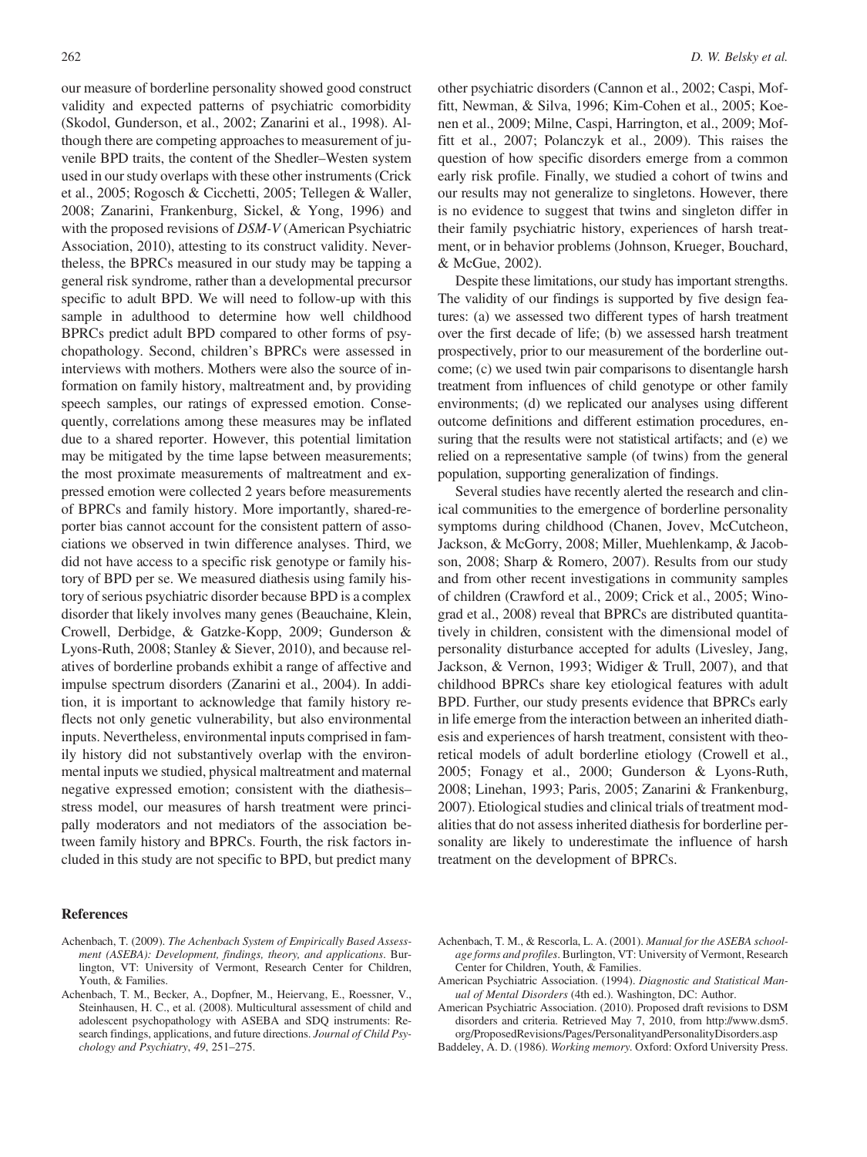our measure of borderline personality showed good construct validity and expected patterns of psychiatric comorbidity (Skodol, Gunderson, et al., 2002; Zanarini et al., 1998). Although there are competing approaches to measurement of juvenile BPD traits, the content of the Shedler–Westen system used in our study overlaps with these other instruments (Crick et al., 2005; Rogosch & Cicchetti, 2005; Tellegen & Waller, 2008; Zanarini, Frankenburg, Sickel, & Yong, 1996) and with the proposed revisions of DSM-V (American Psychiatric Association, 2010), attesting to its construct validity. Nevertheless, the BPRCs measured in our study may be tapping a general risk syndrome, rather than a developmental precursor specific to adult BPD. We will need to follow-up with this sample in adulthood to determine how well childhood BPRCs predict adult BPD compared to other forms of psychopathology. Second, children's BPRCs were assessed in interviews with mothers. Mothers were also the source of information on family history, maltreatment and, by providing speech samples, our ratings of expressed emotion. Consequently, correlations among these measures may be inflated due to a shared reporter. However, this potential limitation may be mitigated by the time lapse between measurements; the most proximate measurements of maltreatment and expressed emotion were collected 2 years before measurements of BPRCs and family history. More importantly, shared-reporter bias cannot account for the consistent pattern of associations we observed in twin difference analyses. Third, we did not have access to a specific risk genotype or family history of BPD per se. We measured diathesis using family history of serious psychiatric disorder because BPD is a complex disorder that likely involves many genes (Beauchaine, Klein, Crowell, Derbidge, & Gatzke-Kopp, 2009; Gunderson & Lyons-Ruth, 2008; Stanley & Siever, 2010), and because relatives of borderline probands exhibit a range of affective and impulse spectrum disorders (Zanarini et al., 2004). In addition, it is important to acknowledge that family history reflects not only genetic vulnerability, but also environmental inputs. Nevertheless, environmental inputs comprised in family history did not substantively overlap with the environmental inputs we studied, physical maltreatment and maternal negative expressed emotion; consistent with the diathesis– stress model, our measures of harsh treatment were principally moderators and not mediators of the association between family history and BPRCs. Fourth, the risk factors included in this study are not specific to BPD, but predict many

#### References

other psychiatric disorders (Cannon et al., 2002; Caspi, Moffitt, Newman, & Silva, 1996; Kim-Cohen et al., 2005; Koenen et al., 2009; Milne, Caspi, Harrington, et al., 2009; Moffitt et al., 2007; Polanczyk et al., 2009). This raises the question of how specific disorders emerge from a common early risk profile. Finally, we studied a cohort of twins and our results may not generalize to singletons. However, there is no evidence to suggest that twins and singleton differ in their family psychiatric history, experiences of harsh treatment, or in behavior problems (Johnson, Krueger, Bouchard, & McGue, 2002).

Despite these limitations, our study has important strengths. The validity of our findings is supported by five design features: (a) we assessed two different types of harsh treatment over the first decade of life; (b) we assessed harsh treatment prospectively, prior to our measurement of the borderline outcome; (c) we used twin pair comparisons to disentangle harsh treatment from influences of child genotype or other family environments; (d) we replicated our analyses using different outcome definitions and different estimation procedures, ensuring that the results were not statistical artifacts; and (e) we relied on a representative sample (of twins) from the general population, supporting generalization of findings.

Several studies have recently alerted the research and clinical communities to the emergence of borderline personality symptoms during childhood (Chanen, Jovev, McCutcheon, Jackson, & McGorry, 2008; Miller, Muehlenkamp, & Jacobson, 2008; Sharp & Romero, 2007). Results from our study and from other recent investigations in community samples of children (Crawford et al., 2009; Crick et al., 2005; Winograd et al., 2008) reveal that BPRCs are distributed quantitatively in children, consistent with the dimensional model of personality disturbance accepted for adults (Livesley, Jang, Jackson, & Vernon, 1993; Widiger & Trull, 2007), and that childhood BPRCs share key etiological features with adult BPD. Further, our study presents evidence that BPRCs early in life emerge from the interaction between an inherited diathesis and experiences of harsh treatment, consistent with theoretical models of adult borderline etiology (Crowell et al., 2005; Fonagy et al., 2000; Gunderson & Lyons-Ruth, 2008; Linehan, 1993; Paris, 2005; Zanarini & Frankenburg, 2007). Etiological studies and clinical trials of treatment modalities that do not assess inherited diathesis for borderline personality are likely to underestimate the influence of harsh treatment on the development of BPRCs.

- Achenbach, T. M., & Rescorla, L. A. (2001). Manual for the ASEBA schoolage forms and profiles. Burlington, VT: University of Vermont, Research Center for Children, Youth, & Families.
- American Psychiatric Association. (1994). Diagnostic and Statistical Manual of Mental Disorders (4th ed.). Washington, DC: Author.

American Psychiatric Association. (2010). Proposed draft revisions to DSM disorders and criteria. Retrieved May 7, 2010, from http://www.dsm5. org/ProposedRevisions/Pages/PersonalityandPersonalityDisorders.asp

Baddeley, A. D. (1986). Working memory. Oxford: Oxford University Press.

Achenbach, T. (2009). The Achenbach System of Empirically Based Assessment (ASEBA): Development, findings, theory, and applications. Burlington, VT: University of Vermont, Research Center for Children, Youth, & Families.

Achenbach, T. M., Becker, A., Dopfner, M., Heiervang, E., Roessner, V., Steinhausen, H. C., et al. (2008). Multicultural assessment of child and adolescent psychopathology with ASEBA and SDQ instruments: Research findings, applications, and future directions. Journal of Child Psychology and Psychiatry, 49, 251–275.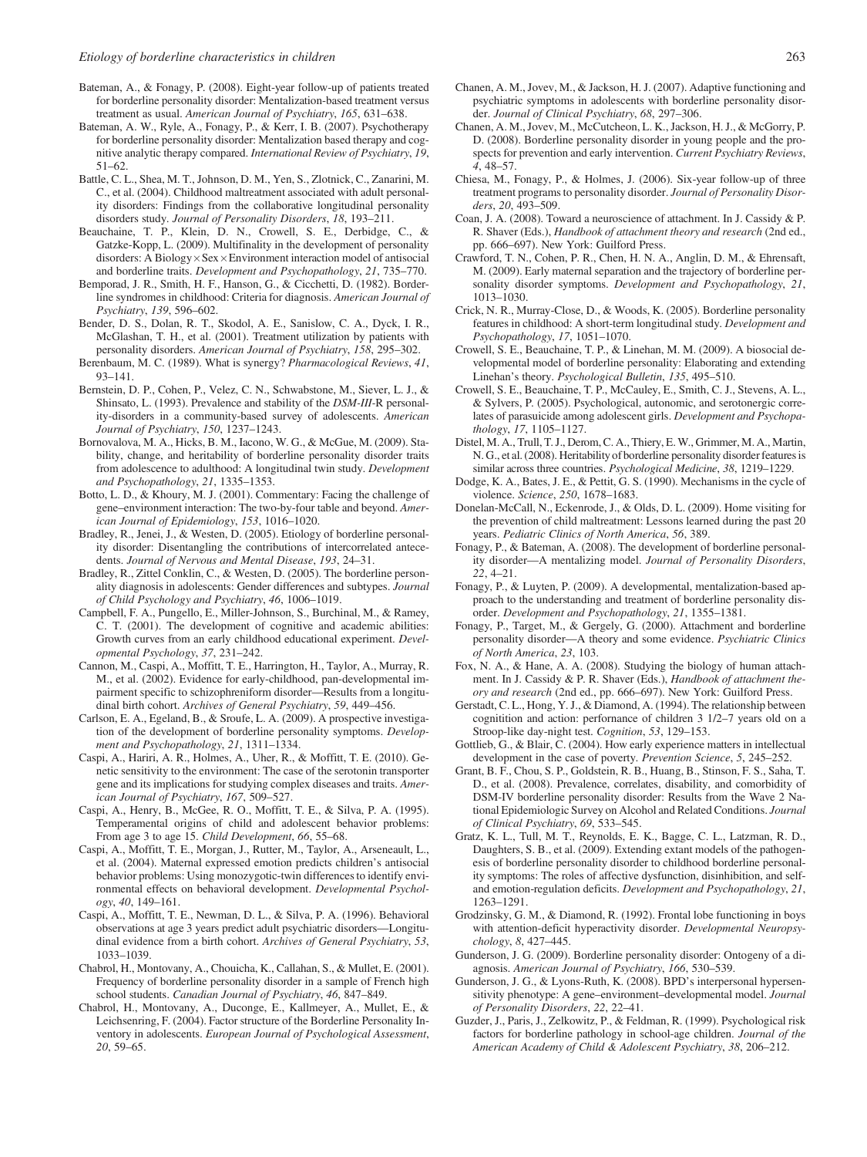- Bateman, A., & Fonagy, P. (2008). Eight-year follow-up of patients treated for borderline personality disorder: Mentalization-based treatment versus treatment as usual. American Journal of Psychiatry, 165, 631–638.
- Bateman, A. W., Ryle, A., Fonagy, P., & Kerr, I. B. (2007). Psychotherapy for borderline personality disorder: Mentalization based therapy and cognitive analytic therapy compared. International Review of Psychiatry, 19, 51–62.
- Battle, C. L., Shea, M. T., Johnson, D. M., Yen, S., Zlotnick, C., Zanarini, M. C., et al. (2004). Childhood maltreatment associated with adult personality disorders: Findings from the collaborative longitudinal personality disorders study. Journal of Personality Disorders, 18, 193–211.
- Beauchaine, T. P., Klein, D. N., Crowell, S. E., Derbidge, C., & Gatzke-Kopp, L. (2009). Multifinality in the development of personality disorders: A Biology  $\times$  Sex  $\times$  Environment interaction model of antisocial and borderline traits. Development and Psychopathology, 21, 735–770.
- Bemporad, J. R., Smith, H. F., Hanson, G., & Cicchetti, D. (1982). Borderline syndromes in childhood: Criteria for diagnosis. American Journal of Psychiatry, 139, 596–602.
- Bender, D. S., Dolan, R. T., Skodol, A. E., Sanislow, C. A., Dyck, I. R., McGlashan, T. H., et al. (2001). Treatment utilization by patients with personality disorders. American Journal of Psychiatry, 158, 295–302.
- Berenbaum, M. C. (1989). What is synergy? Pharmacological Reviews, 41, 93–141.
- Bernstein, D. P., Cohen, P., Velez, C. N., Schwabstone, M., Siever, L. J., & Shinsato, L. (1993). Prevalence and stability of the DSM-III-R personality-disorders in a community-based survey of adolescents. American Journal of Psychiatry, 150, 1237–1243.
- Bornovalova, M. A., Hicks, B. M., Iacono, W. G., & McGue, M. (2009). Stability, change, and heritability of borderline personality disorder traits from adolescence to adulthood: A longitudinal twin study. Development and Psychopathology, 21, 1335–1353.
- Botto, L. D., & Khoury, M. J. (2001). Commentary: Facing the challenge of gene–environment interaction: The two-by-four table and beyond. American Journal of Epidemiology, 153, 1016–1020.
- Bradley, R., Jenei, J., & Westen, D. (2005). Etiology of borderline personality disorder: Disentangling the contributions of intercorrelated antecedents. Journal of Nervous and Mental Disease, 193, 24–31.
- Bradley, R., Zittel Conklin, C., & Westen, D. (2005). The borderline personality diagnosis in adolescents: Gender differences and subtypes. Journal of Child Psychology and Psychiatry, 46, 1006–1019.
- Campbell, F. A., Pungello, E., Miller-Johnson, S., Burchinal, M., & Ramey, C. T. (2001). The development of cognitive and academic abilities: Growth curves from an early childhood educational experiment. Developmental Psychology, 37, 231–242.
- Cannon, M., Caspi, A., Moffitt, T. E., Harrington, H., Taylor, A., Murray, R. M., et al. (2002). Evidence for early-childhood, pan-developmental impairment specific to schizophreniform disorder—Results from a longitudinal birth cohort. Archives of General Psychiatry, 59, 449–456.
- Carlson, E. A., Egeland, B., & Sroufe, L. A. (2009). A prospective investigation of the development of borderline personality symptoms. Development and Psychopathology, 21, 1311–1334.
- Caspi, A., Hariri, A. R., Holmes, A., Uher, R., & Moffitt, T. E. (2010). Genetic sensitivity to the environment: The case of the serotonin transporter gene and its implications for studying complex diseases and traits. American Journal of Psychiatry, 167, 509–527.
- Caspi, A., Henry, B., McGee, R. O., Moffitt, T. E., & Silva, P. A. (1995). Temperamental origins of child and adolescent behavior problems: From age 3 to age 15. Child Development, 66, 55–68.
- Caspi, A., Moffitt, T. E., Morgan, J., Rutter, M., Taylor, A., Arseneault, L., et al. (2004). Maternal expressed emotion predicts children's antisocial behavior problems: Using monozygotic-twin differences to identify environmental effects on behavioral development. Developmental Psychology, 40, 149–161.
- Caspi, A., Moffitt, T. E., Newman, D. L., & Silva, P. A. (1996). Behavioral observations at age 3 years predict adult psychiatric disorders—Longitudinal evidence from a birth cohort. Archives of General Psychiatry, 53, 1033–1039.
- Chabrol, H., Montovany, A., Chouicha, K., Callahan, S., & Mullet, E. (2001). Frequency of borderline personality disorder in a sample of French high school students. Canadian Journal of Psychiatry, 46, 847-849.
- Chabrol, H., Montovany, A., Duconge, E., Kallmeyer, A., Mullet, E., & Leichsenring, F. (2004). Factor structure of the Borderline Personality Inventory in adolescents. European Journal of Psychological Assessment, 20, 59–65.
- Chanen, A. M., Jovev, M., & Jackson, H. J. (2007). Adaptive functioning and psychiatric symptoms in adolescents with borderline personality disorder. Journal of Clinical Psychiatry, 68, 297–306.
- Chanen, A. M., Jovev, M., McCutcheon, L. K., Jackson, H. J., & McGorry, P. D. (2008). Borderline personality disorder in young people and the prospects for prevention and early intervention. Current Psychiatry Reviews, 4, 48–57.
- Chiesa, M., Fonagy, P., & Holmes, J. (2006). Six-year follow-up of three treatment programs to personality disorder. Journal of Personality Disorders, 20, 493–509.
- Coan, J. A. (2008). Toward a neuroscience of attachment. In J. Cassidy & P. R. Shaver (Eds.), Handbook of attachment theory and research (2nd ed., pp. 666–697). New York: Guilford Press.
- Crawford, T. N., Cohen, P. R., Chen, H. N. A., Anglin, D. M., & Ehrensaft, M. (2009). Early maternal separation and the trajectory of borderline personality disorder symptoms. Development and Psychopathology, 21, 1013–1030.
- Crick, N. R., Murray-Close, D., & Woods, K. (2005). Borderline personality features in childhood: A short-term longitudinal study. Development and Psychopathology, 17, 1051–1070.
- Crowell, S. E., Beauchaine, T. P., & Linehan, M. M. (2009). A biosocial developmental model of borderline personality: Elaborating and extending Linehan's theory. Psychological Bulletin, 135, 495–510.
- Crowell, S. E., Beauchaine, T. P., McCauley, E., Smith, C. J., Stevens, A. L., & Sylvers, P. (2005). Psychological, autonomic, and serotonergic correlates of parasuicide among adolescent girls. Development and Psychopathology, 17, 1105–1127.
- Distel, M. A., Trull, T. J., Derom, C. A., Thiery, E.W., Grimmer, M. A., Martin, N. G., et al. (2008). Heritability of borderline personality disorder features is similar across three countries. Psychological Medicine, 38, 1219–1229.
- Dodge, K. A., Bates, J. E., & Pettit, G. S. (1990). Mechanisms in the cycle of violence. Science, 250, 1678–1683.
- Donelan-McCall, N., Eckenrode, J., & Olds, D. L. (2009). Home visiting for the prevention of child maltreatment: Lessons learned during the past 20 years. Pediatric Clinics of North America, 56, 389.
- Fonagy, P., & Bateman, A. (2008). The development of borderline personality disorder—A mentalizing model. Journal of Personality Disorders, 22, 4–21.
- Fonagy, P., & Luyten, P. (2009). A developmental, mentalization-based approach to the understanding and treatment of borderline personality disorder. Development and Psychopathology, 21, 1355–1381.
- Fonagy, P., Target, M., & Gergely, G. (2000). Attachment and borderline personality disorder—A theory and some evidence. Psychiatric Clinics of North America, 23, 103.
- Fox, N. A., & Hane, A. A. (2008). Studying the biology of human attachment. In J. Cassidy & P. R. Shaver (Eds.), Handbook of attachment theory and research (2nd ed., pp. 666–697). New York: Guilford Press.
- Gerstadt, C. L., Hong, Y. J., & Diamond, A. (1994). The relationship between cognitition and action: perfornance of children 3 1/2–7 years old on a Stroop-like day-night test. Cognition, 53, 129–153.
- Gottlieb, G., & Blair, C. (2004). How early experience matters in intellectual development in the case of poverty. Prevention Science, 5, 245–252.
- Grant, B. F., Chou, S. P., Goldstein, R. B., Huang, B., Stinson, F. S., Saha, T. D., et al. (2008). Prevalence, correlates, disability, and comorbidity of DSM-IV borderline personality disorder: Results from the Wave 2 National Epidemiologic Survey on Alcohol and Related Conditions. Journal of Clinical Psychiatry, 69, 533–545.
- Gratz, K. L., Tull, M. T., Reynolds, E. K., Bagge, C. L., Latzman, R. D., Daughters, S. B., et al. (2009). Extending extant models of the pathogenesis of borderline personality disorder to childhood borderline personality symptoms: The roles of affective dysfunction, disinhibition, and selfand emotion-regulation deficits. Development and Psychopathology, 21, 1263–1291.
- Grodzinsky, G. M., & Diamond, R. (1992). Frontal lobe functioning in boys with attention-deficit hyperactivity disorder. Developmental Neuropsychology, 8, 427–445.
- Gunderson, J. G. (2009). Borderline personality disorder: Ontogeny of a diagnosis. American Journal of Psychiatry, 166, 530–539.
- Gunderson, J. G., & Lyons-Ruth, K. (2008). BPD's interpersonal hypersensitivity phenotype: A gene–environment–developmental model. Journal of Personality Disorders, 22, 22–41.
- Guzder, J., Paris, J., Zelkowitz, P., & Feldman, R. (1999). Psychological risk factors for borderline pathology in school-age children. Journal of the American Academy of Child & Adolescent Psychiatry, 38, 206–212.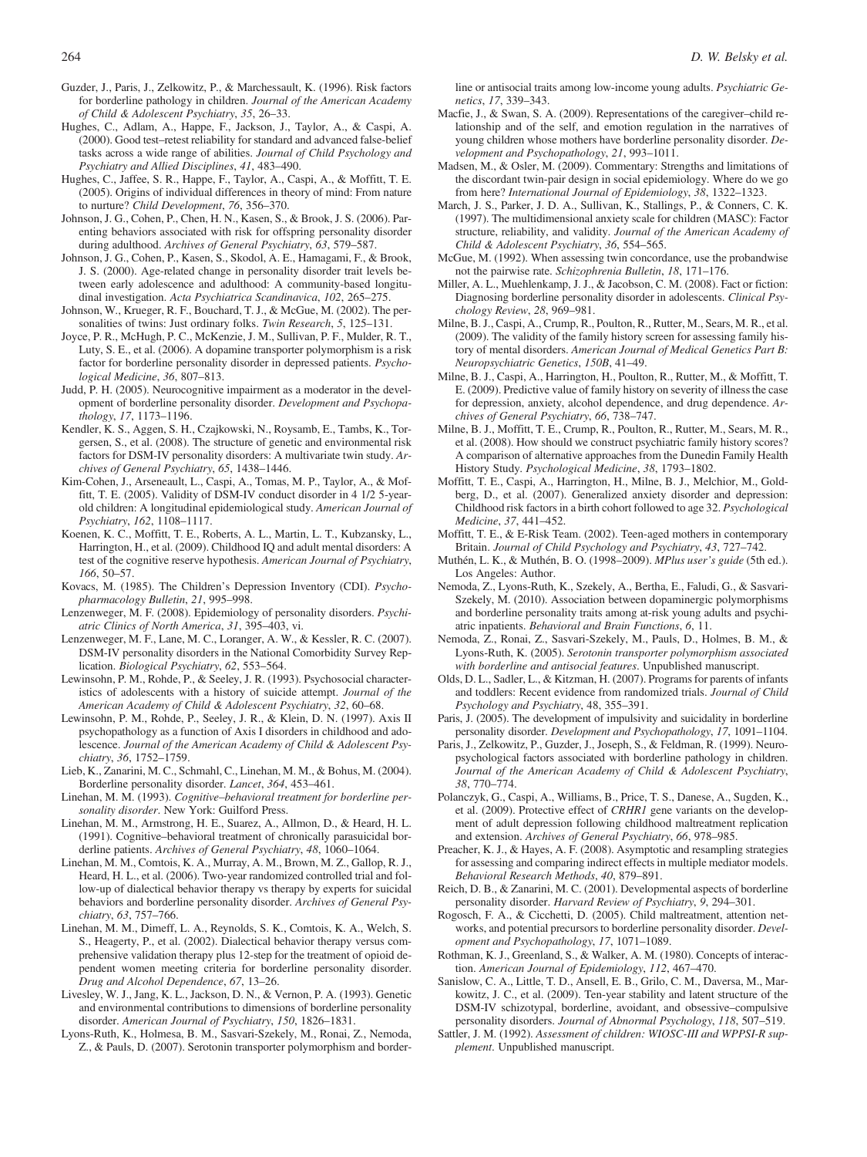- Guzder, J., Paris, J., Zelkowitz, P., & Marchessault, K. (1996). Risk factors for borderline pathology in children. Journal of the American Academy of Child & Adolescent Psychiatry, 35, 26–33.
- Hughes, C., Adlam, A., Happe, F., Jackson, J., Taylor, A., & Caspi, A. (2000). Good test–retest reliability for standard and advanced false-belief tasks across a wide range of abilities. Journal of Child Psychology and Psychiatry and Allied Disciplines, 41, 483–490.
- Hughes, C., Jaffee, S. R., Happe, F., Taylor, A., Caspi, A., & Moffitt, T. E. (2005). Origins of individual differences in theory of mind: From nature to nurture? Child Development, 76, 356–370.
- Johnson, J. G., Cohen, P., Chen, H. N., Kasen, S., & Brook, J. S. (2006). Parenting behaviors associated with risk for offspring personality disorder during adulthood. Archives of General Psychiatry, 63, 579–587.
- Johnson, J. G., Cohen, P., Kasen, S., Skodol, A. E., Hamagami, F., & Brook, J. S. (2000). Age-related change in personality disorder trait levels between early adolescence and adulthood: A community-based longitudinal investigation. Acta Psychiatrica Scandinavica, 102, 265–275.
- Johnson, W., Krueger, R. F., Bouchard, T. J., & McGue, M. (2002). The personalities of twins: Just ordinary folks. Twin Research, 5, 125–131.
- Joyce, P. R., McHugh, P. C., McKenzie, J. M., Sullivan, P. F., Mulder, R. T., Luty, S. E., et al. (2006). A dopamine transporter polymorphism is a risk factor for borderline personality disorder in depressed patients. Psychological Medicine, 36, 807–813.
- Judd, P. H. (2005). Neurocognitive impairment as a moderator in the development of borderline personality disorder. Development and Psychopathology, 17, 1173–1196.
- Kendler, K. S., Aggen, S. H., Czajkowski, N., Roysamb, E., Tambs, K., Torgersen, S., et al. (2008). The structure of genetic and environmental risk factors for DSM-IV personality disorders: A multivariate twin study. Archives of General Psychiatry, 65, 1438–1446.
- Kim-Cohen, J., Arseneault, L., Caspi, A., Tomas, M. P., Taylor, A., & Moffitt, T. E. (2005). Validity of DSM-IV conduct disorder in 4 1/2 5-yearold children: A longitudinal epidemiological study. American Journal of Psychiatry, 162, 1108–1117.
- Koenen, K. C., Moffitt, T. E., Roberts, A. L., Martin, L. T., Kubzansky, L., Harrington, H., et al. (2009). Childhood IQ and adult mental disorders: A test of the cognitive reserve hypothesis. American Journal of Psychiatry, 166, 50–57.
- Kovacs, M. (1985). The Children's Depression Inventory (CDI). Psychopharmacology Bulletin, 21, 995–998.
- Lenzenweger, M. F. (2008). Epidemiology of personality disorders. Psychiatric Clinics of North America, 31, 395–403, vi.
- Lenzenweger, M. F., Lane, M. C., Loranger, A. W., & Kessler, R. C. (2007). DSM-IV personality disorders in the National Comorbidity Survey Replication. Biological Psychiatry, 62, 553–564.
- Lewinsohn, P. M., Rohde, P., & Seeley, J. R. (1993). Psychosocial characteristics of adolescents with a history of suicide attempt. Journal of the American Academy of Child & Adolescent Psychiatry, 32, 60–68.
- Lewinsohn, P. M., Rohde, P., Seeley, J. R., & Klein, D. N. (1997). Axis II psychopathology as a function of Axis I disorders in childhood and adolescence. Journal of the American Academy of Child & Adolescent Psychiatry, 36, 1752–1759.
- Lieb, K., Zanarini, M. C., Schmahl, C., Linehan, M. M., & Bohus, M. (2004). Borderline personality disorder. Lancet, 364, 453–461.
- Linehan, M. M. (1993). Cognitive–behavioral treatment for borderline personality disorder. New York: Guilford Press.
- Linehan, M. M., Armstrong, H. E., Suarez, A., Allmon, D., & Heard, H. L. (1991). Cognitive–behavioral treatment of chronically parasuicidal borderline patients. Archives of General Psychiatry, 48, 1060–1064.
- Linehan, M. M., Comtois, K. A., Murray, A. M., Brown, M. Z., Gallop, R. J., Heard, H. L., et al. (2006). Two-year randomized controlled trial and follow-up of dialectical behavior therapy vs therapy by experts for suicidal behaviors and borderline personality disorder. Archives of General Psychiatry, 63, 757–766.
- Linehan, M. M., Dimeff, L. A., Reynolds, S. K., Comtois, K. A., Welch, S. S., Heagerty, P., et al. (2002). Dialectical behavior therapy versus comprehensive validation therapy plus 12-step for the treatment of opioid dependent women meeting criteria for borderline personality disorder. Drug and Alcohol Dependence, 67, 13–26.
- Livesley, W. J., Jang, K. L., Jackson, D. N., & Vernon, P. A. (1993). Genetic and environmental contributions to dimensions of borderline personality disorder. American Journal of Psychiatry, 150, 1826–1831.
- Lyons-Ruth, K., Holmesa, B. M., Sasvari-Szekely, M., Ronai, Z., Nemoda, Z., & Pauls, D. (2007). Serotonin transporter polymorphism and border-

line or antisocial traits among low-income young adults. Psychiatric Genetics, 17, 339–343.

- Macfie, J., & Swan, S. A. (2009). Representations of the caregiver–child relationship and of the self, and emotion regulation in the narratives of young children whose mothers have borderline personality disorder. Development and Psychopathology, 21, 993–1011.
- Madsen, M., & Osler, M. (2009). Commentary: Strengths and limitations of the discordant twin-pair design in social epidemiology. Where do we go from here? International Journal of Epidemiology, 38, 1322–1323.
- March, J. S., Parker, J. D. A., Sullivan, K., Stallings, P., & Conners, C. K. (1997). The multidimensional anxiety scale for children (MASC): Factor structure, reliability, and validity. Journal of the American Academy of Child & Adolescent Psychiatry, 36, 554–565.
- McGue, M. (1992). When assessing twin concordance, use the probandwise not the pairwise rate. Schizophrenia Bulletin, 18, 171–176.
- Miller, A. L., Muehlenkamp, J. J., & Jacobson, C. M. (2008). Fact or fiction: Diagnosing borderline personality disorder in adolescents. Clinical Psychology Review, 28, 969–981.
- Milne, B. J., Caspi, A., Crump, R., Poulton, R., Rutter, M., Sears, M. R., et al. (2009). The validity of the family history screen for assessing family history of mental disorders. American Journal of Medical Genetics Part B: Neuropsychiatric Genetics, 150B, 41–49.
- Milne, B. J., Caspi, A., Harrington, H., Poulton, R., Rutter, M., & Moffitt, T. E. (2009). Predictive value of family history on severity of illness the case for depression, anxiety, alcohol dependence, and drug dependence. Archives of General Psychiatry, 66, 738–747.
- Milne, B. J., Moffitt, T. E., Crump, R., Poulton, R., Rutter, M., Sears, M. R., et al. (2008). How should we construct psychiatric family history scores? A comparison of alternative approaches from the Dunedin Family Health History Study. Psychological Medicine, 38, 1793–1802.
- Moffitt, T. E., Caspi, A., Harrington, H., Milne, B. J., Melchior, M., Goldberg, D., et al. (2007). Generalized anxiety disorder and depression: Childhood risk factors in a birth cohort followed to age 32. Psychological Medicine, 37, 441–452.
- Moffitt, T. E., & E-Risk Team. (2002). Teen-aged mothers in contemporary Britain. Journal of Child Psychology and Psychiatry, 43, 727–742.
- Muthén, L. K., & Muthén, B. O. (1998–2009). MPlus user's guide (5th ed.). Los Angeles: Author.
- Nemoda, Z., Lyons-Ruth, K., Szekely, A., Bertha, E., Faludi, G., & Sasvari-Szekely, M. (2010). Association between dopaminergic polymorphisms and borderline personality traits among at-risk young adults and psychiatric inpatients. Behavioral and Brain Functions, 6, 11.
- Nemoda, Z., Ronai, Z., Sasvari-Szekely, M., Pauls, D., Holmes, B. M., & Lyons-Ruth, K. (2005). Serotonin transporter polymorphism associated with borderline and antisocial features. Unpublished manuscript.
- Olds, D. L., Sadler, L., & Kitzman, H. (2007). Programs for parents of infants and toddlers: Recent evidence from randomized trials. Journal of Child Psychology and Psychiatry, 48, 355–391.
- Paris, J. (2005). The development of impulsivity and suicidality in borderline personality disorder. Development and Psychopathology, 17, 1091–1104.
- Paris, J., Zelkowitz, P., Guzder, J., Joseph, S., & Feldman, R. (1999). Neuropsychological factors associated with borderline pathology in children. Journal of the American Academy of Child & Adolescent Psychiatry, 38, 770–774.
- Polanczyk, G., Caspi, A., Williams, B., Price, T. S., Danese, A., Sugden, K., et al. (2009). Protective effect of CRHR1 gene variants on the development of adult depression following childhood maltreatment replication and extension. Archives of General Psychiatry, 66, 978–985.
- Preacher, K. J., & Hayes, A. F. (2008). Asymptotic and resampling strategies for assessing and comparing indirect effects in multiple mediator models. Behavioral Research Methods, 40, 879–891.
- Reich, D. B., & Zanarini, M. C. (2001). Developmental aspects of borderline personality disorder. Harvard Review of Psychiatry, 9, 294–301.
- Rogosch, F. A., & Cicchetti, D. (2005). Child maltreatment, attention networks, and potential precursors to borderline personality disorder. Development and Psychopathology, 17, 1071–1089.
- Rothman, K. J., Greenland, S., & Walker, A. M. (1980). Concepts of interaction. American Journal of Epidemiology, 112, 467–470.
- Sanislow, C. A., Little, T. D., Ansell, E. B., Grilo, C. M., Daversa, M., Markowitz, J. C., et al. (2009). Ten-year stability and latent structure of the DSM-IV schizotypal, borderline, avoidant, and obsessive–compulsive personality disorders. Journal of Abnormal Psychology, 118, 507–519.
- Sattler, J. M. (1992). Assessment of children: WIOSC-III and WPPSI-R supplement. Unpublished manuscript.